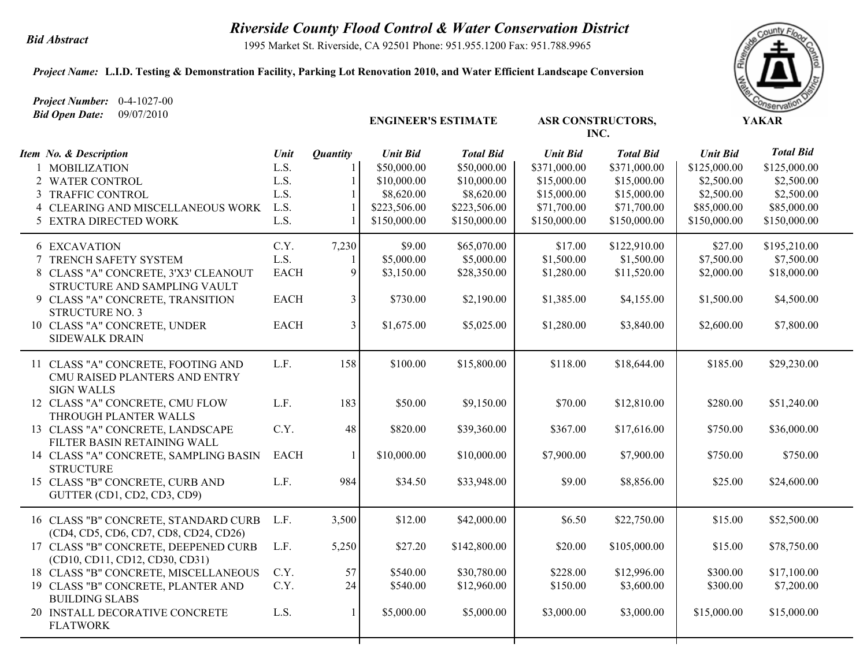## *Riverside County Flood Control & Water Conservation District Bid Abstract*

1995 Market St. Riverside, CA 92501 Phone: 951.955.1200 Fax: 951.788.9965

## *Project Name:* **L.I.D. Testing & Demonstration Facility, Parking Lot Renovation 2010, and Water Efficient Landscape Conversion**

*Project Number:* 0-4-1027-00 *Bid Open Date:* 09/07/2010

| <b>Bla Open Date:</b> $09/07/2010$                                            |             |                 | <b>ENGINEER'S ESTIMATE</b> |                  |                 | <b>ASR CONSTRUCTORS,</b><br>INC. | <b>YAKAR</b>    |                  |  |
|-------------------------------------------------------------------------------|-------------|-----------------|----------------------------|------------------|-----------------|----------------------------------|-----------------|------------------|--|
| Item No. & Description                                                        | Unit        | <b>Quantity</b> | <b>Unit Bid</b>            | <b>Total Bid</b> | <b>Unit Bid</b> | <b>Total Bid</b>                 | <b>Unit Bid</b> | <b>Total Bid</b> |  |
| 1 MOBILIZATION                                                                | L.S.        |                 | \$50,000.00                | \$50,000.00      | \$371,000.00    | \$371,000.00                     | \$125,000.00    | \$125,000.00     |  |
| 2 WATER CONTROL                                                               | L.S.        | 1               | \$10,000.00                | \$10,000.00      | \$15,000.00     | \$15,000.00                      | \$2,500.00      | \$2,500.00       |  |
| 3 TRAFFIC CONTROL                                                             | L.S.        |                 | \$8,620.00                 | \$8,620.00       | \$15,000.00     | \$15,000.00                      | \$2,500.00      | \$2,500.00       |  |
| 4 CLEARING AND MISCELLANEOUS WORK                                             | L.S.        |                 | \$223,506.00               | \$223,506.00     | \$71,700.00     | \$71,700.00                      | \$85,000.00     | \$85,000.00      |  |
| 5 EXTRA DIRECTED WORK                                                         | L.S.        |                 | \$150,000.00               | \$150,000.00     | \$150,000.00    | \$150,000.00                     | \$150,000.00    | \$150,000.00     |  |
| <b>6 EXCAVATION</b>                                                           | C.Y.        | 7,230           | \$9.00                     | \$65,070.00      | \$17.00         | \$122,910.00                     | \$27.00         | \$195,210.00     |  |
| 7 TRENCH SAFETY SYSTEM                                                        | L.S.        | 1               | \$5,000.00                 | \$5,000.00       | \$1,500.00      | \$1,500.00                       | \$7,500.00      | \$7,500.00       |  |
| 8 CLASS "A" CONCRETE, 3'X3' CLEANOUT<br>STRUCTURE AND SAMPLING VAULT          | <b>EACH</b> | 9               | \$3,150.00                 | \$28,350.00      | \$1,280.00      | \$11,520.00                      | \$2,000.00      | \$18,000.00      |  |
| 9 CLASS "A" CONCRETE, TRANSITION                                              | <b>EACH</b> | 3 <sup>1</sup>  | \$730.00                   | \$2,190.00       | \$1,385.00      | \$4,155.00                       | \$1,500.00      | \$4,500.00       |  |
| <b>STRUCTURE NO. 3</b><br>10 CLASS "A" CONCRETE, UNDER                        | <b>EACH</b> | $\overline{3}$  | \$1,675.00                 | \$5,025.00       | \$1,280.00      | \$3,840.00                       | \$2,600.00      | \$7,800.00       |  |
| <b>SIDEWALK DRAIN</b>                                                         |             |                 |                            |                  |                 |                                  |                 |                  |  |
| 11 CLASS "A" CONCRETE, FOOTING AND<br>CMU RAISED PLANTERS AND ENTRY           | L.F.        | 158             | \$100.00                   | \$15,800.00      | \$118.00        | \$18,644.00                      | \$185.00        | \$29,230.00      |  |
| <b>SIGN WALLS</b><br>12 CLASS "A" CONCRETE, CMU FLOW                          | L.F.        | 183             | \$50.00                    | \$9,150.00       | \$70.00         | \$12,810.00                      | \$280.00        | \$51,240.00      |  |
| THROUGH PLANTER WALLS                                                         |             |                 |                            |                  |                 |                                  |                 |                  |  |
| 13 CLASS "A" CONCRETE, LANDSCAPE<br>FILTER BASIN RETAINING WALL               | C.Y.        | 48              | \$820.00                   | \$39,360.00      | \$367.00        | \$17,616.00                      | \$750.00        | \$36,000.00      |  |
| 14 CLASS "A" CONCRETE, SAMPLING BASIN<br><b>STRUCTURE</b>                     | <b>EACH</b> | $\mathbf{1}$    | \$10,000.00                | \$10,000.00      | \$7,900.00      | \$7,900.00                       | \$750.00        | \$750.00         |  |
| 15 CLASS "B" CONCRETE, CURB AND<br>GUTTER (CD1, CD2, CD3, CD9)                | L.F.        | 984             | \$34.50                    | \$33,948.00      | \$9.00          | \$8,856.00                       | \$25.00         | \$24,600.00      |  |
| 16 CLASS "B" CONCRETE, STANDARD CURB<br>(CD4, CD5, CD6, CD7, CD8, CD24, CD26) | L.F.        | 3,500           | \$12.00                    | \$42,000.00      | \$6.50          | \$22,750.00                      | \$15.00         | \$52,500.00      |  |
| 17 CLASS "B" CONCRETE, DEEPENED CURB                                          | L.F.        | 5,250           | \$27.20                    | \$142,800.00     | \$20.00         | \$105,000.00                     | \$15.00         | \$78,750.00      |  |
| (CD10, CD11, CD12, CD30, CD31)                                                | C.Y.        | 57              | \$540.00                   | \$30,780.00      | \$228.00        | \$12,996.00                      | \$300.00        | \$17,100.00      |  |
| 18 CLASS "B" CONCRETE, MISCELLANEOUS<br>19 CLASS "B" CONCRETE, PLANTER AND    | C.Y.        | 24              | \$540.00                   | \$12,960.00      | \$150.00        | \$3,600.00                       | \$300.00        | \$7,200.00       |  |
| <b>BUILDING SLABS</b>                                                         |             |                 |                            |                  |                 |                                  |                 |                  |  |
| 20 INSTALL DECORATIVE CONCRETE<br><b>FLATWORK</b>                             | L.S.        | $\mathbf{1}$    | \$5,000.00                 | \$5,000.00       | \$3,000.00      | \$3,000.00                       | \$15,000.00     | \$15,000.00      |  |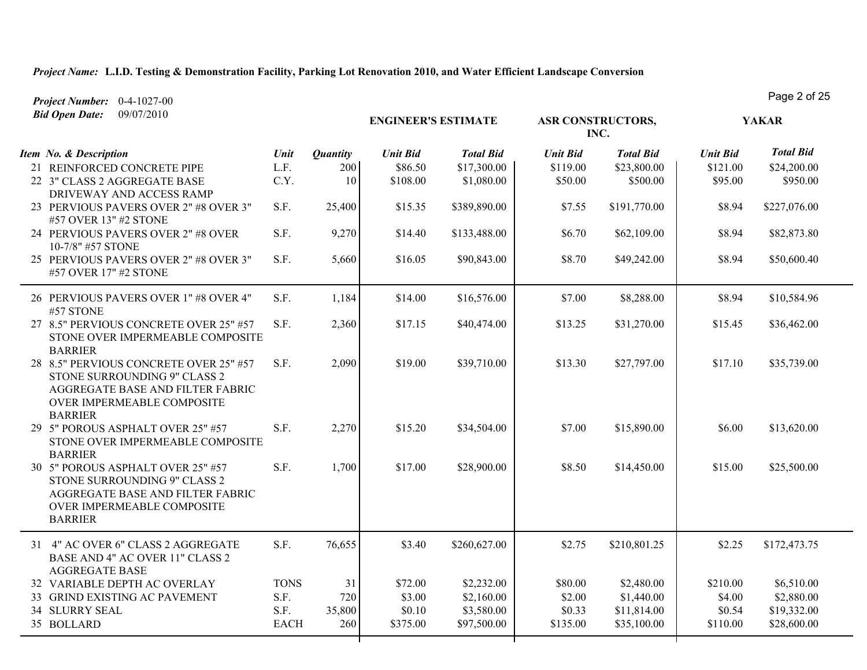| Project Number: $0-4-1027-00$                                                                                                                              |             |                 |                            |                  |                          |                  |                 | Page 2 UI 20     |
|------------------------------------------------------------------------------------------------------------------------------------------------------------|-------------|-----------------|----------------------------|------------------|--------------------------|------------------|-----------------|------------------|
| 09/07/2010<br><b>Bid Open Date:</b>                                                                                                                        |             |                 | <b>ENGINEER'S ESTIMATE</b> |                  | <b>ASR CONSTRUCTORS,</b> | INC.             | <b>YAKAR</b>    |                  |
| Item No. & Description                                                                                                                                     | Unit        | <b>Quantity</b> | <b>Unit Bid</b>            | <b>Total Bid</b> | <b>Unit Bid</b>          | <b>Total Bid</b> | <b>Unit Bid</b> | <b>Total Bid</b> |
| 21 REINFORCED CONCRETE PIPE                                                                                                                                | L.F.        | 200             | \$86.50                    | \$17,300.00      | \$119.00                 | \$23,800.00      | \$121.00        | \$24,200.00      |
| 22 3" CLASS 2 AGGREGATE BASE<br>DRIVEWAY AND ACCESS RAMP                                                                                                   | C.Y.        | 10              | \$108.00                   | \$1,080.00       | \$50.00                  | \$500.00         | \$95.00         | \$950.00         |
| 23 PERVIOUS PAVERS OVER 2" #8 OVER 3"<br>#57 OVER 13" #2 STONE                                                                                             | S.F.        | 25,400          | \$15.35                    | \$389,890.00     | \$7.55                   | \$191,770.00     | \$8.94          | \$227,076.00     |
| 24 PERVIOUS PAVERS OVER 2" #8 OVER<br>10-7/8" #57 STONE                                                                                                    | S.F.        | 9,270           | \$14.40                    | \$133,488.00     | \$6.70                   | \$62,109.00      | \$8.94          | \$82,873.80      |
| 25 PERVIOUS PAVERS OVER 2" #8 OVER 3"<br>#57 OVER 17" #2 STONE                                                                                             | S.F.        | 5,660           | \$16.05                    | \$90,843.00      | \$8.70                   | \$49,242.00      | \$8.94          | \$50,600.40      |
| 26 PERVIOUS PAVERS OVER 1" #8 OVER 4"<br>#57 STONE                                                                                                         | S.F.        | 1,184           | \$14.00                    | \$16,576.00      | \$7.00                   | \$8,288.00       | \$8.94          | \$10,584.96      |
| 27 8.5" PERVIOUS CONCRETE OVER 25" #57<br>STONE OVER IMPERMEABLE COMPOSITE<br><b>BARRIER</b>                                                               | S.F.        | 2,360           | \$17.15                    | \$40,474.00      | \$13.25                  | \$31,270.00      | \$15.45         | \$36,462.00      |
| 28 8.5" PERVIOUS CONCRETE OVER 25" #57<br>STONE SURROUNDING 9" CLASS 2<br>AGGREGATE BASE AND FILTER FABRIC<br>OVER IMPERMEABLE COMPOSITE<br><b>BARRIER</b> | S.F.        | 2,090           | \$19.00                    | \$39,710.00      | \$13.30                  | \$27,797.00      | \$17.10         | \$35,739.00      |
| 29 5" POROUS ASPHALT OVER 25" #57<br>STONE OVER IMPERMEABLE COMPOSITE<br><b>BARRIER</b>                                                                    | S.F.        | 2,270           | \$15.20                    | \$34,504.00      | \$7.00                   | \$15,890.00      | \$6.00          | \$13,620.00      |
| 30 5" POROUS ASPHALT OVER 25" #57<br>STONE SURROUNDING 9" CLASS 2<br>AGGREGATE BASE AND FILTER FABRIC<br>OVER IMPERMEABLE COMPOSITE<br><b>BARRIER</b>      | S.F.        | 1,700           | \$17.00                    | \$28,900.00      | \$8.50                   | \$14,450.00      | \$15.00         | \$25,500.00      |
| 31 4" AC OVER 6" CLASS 2 AGGREGATE<br>BASE AND 4" AC OVER 11" CLASS 2<br><b>AGGREGATE BASE</b>                                                             | S.F.        | 76,655          | \$3.40                     | \$260,627.00     | \$2.75                   | \$210,801.25     | \$2.25          | \$172,473.75     |
| 32 VARIABLE DEPTH AC OVERLAY                                                                                                                               | <b>TONS</b> | 31              | \$72.00                    | \$2,232.00       | \$80.00                  | \$2,480.00       | \$210.00        | \$6,510.00       |
| 33 GRIND EXISTING AC PAVEMENT                                                                                                                              | S.F.        | 720             | \$3.00                     | \$2,160.00       | \$2.00                   | \$1,440.00       | \$4.00          | \$2,880.00       |
| 34 SLURRY SEAL                                                                                                                                             | S.F.        | 35,800          | \$0.10                     | \$3,580.00       | \$0.33                   | \$11,814.00      | \$0.54          | \$19,332.00      |
| 35 BOLLARD                                                                                                                                                 | <b>EACH</b> | 260             | \$375.00                   | \$97,500.00      | \$135.00                 | \$35,100.00      | \$110.00        | \$28,600.00      |

Page 2 of 25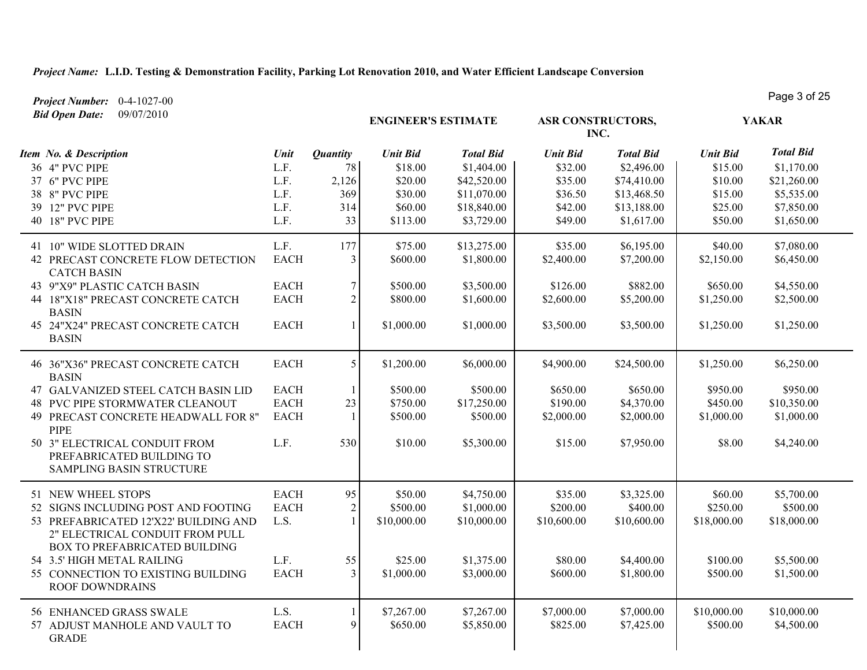*Project Number:* 0-4-1027-00

 $\overline{\phantom{a}}$ 

| <b>Bid Open Date:</b><br>09/07/2010                                                                                                                                                                                                                                         |                                                                  |                                                    | <b>ENGINEER'S ESTIMATE</b>                                              |                                                                                           | <b>ASR CONSTRUCTORS,</b><br>INC.                                       |                                                                                           |                                                                        | <b>YAKAR</b>                                                                            |
|-----------------------------------------------------------------------------------------------------------------------------------------------------------------------------------------------------------------------------------------------------------------------------|------------------------------------------------------------------|----------------------------------------------------|-------------------------------------------------------------------------|-------------------------------------------------------------------------------------------|------------------------------------------------------------------------|-------------------------------------------------------------------------------------------|------------------------------------------------------------------------|-----------------------------------------------------------------------------------------|
| Item No. & Description<br>36 4" PVC PIPE<br>37 6" PVC PIPE<br>38 8" PVC PIPE<br>39 12" PVC PIPE<br>40 18" PVC PIPE                                                                                                                                                          | Unit<br>L.F.<br>L.F.<br>L.F.<br>L.F.<br>L.F.                     | <b>Quantity</b><br>78<br>2,126<br>369<br>314<br>33 | <b>Unit Bid</b><br>\$18.00<br>\$20.00<br>\$30.00<br>\$60.00<br>\$113.00 | <b>Total Bid</b><br>\$1,404.00<br>\$42,520.00<br>\$11,070.00<br>\$18,840.00<br>\$3,729.00 | <b>Unit Bid</b><br>\$32.00<br>\$35.00<br>\$36.50<br>\$42.00<br>\$49.00 | <b>Total Bid</b><br>\$2,496.00<br>\$74,410.00<br>\$13,468.50<br>\$13,188.00<br>\$1,617.00 | <b>Unit Bid</b><br>\$15.00<br>\$10.00<br>\$15.00<br>\$25.00<br>\$50.00 | <b>Total Bid</b><br>\$1,170.00<br>\$21,260.00<br>\$5,535.00<br>\$7,850.00<br>\$1,650.00 |
| 41 10" WIDE SLOTTED DRAIN<br>42 PRECAST CONCRETE FLOW DETECTION<br><b>CATCH BASIN</b><br>43 9"X9" PLASTIC CATCH BASIN<br>44 18"X18" PRECAST CONCRETE CATCH<br><b>BASIN</b><br>45 24"X24" PRECAST CONCRETE CATCH<br><b>BASIN</b>                                             | L.F.<br><b>EACH</b><br><b>EACH</b><br><b>EACH</b><br><b>EACH</b> | 177<br>$\overline{3}$<br>7<br>$\overline{2}$       | \$75.00<br>\$600.00<br>\$500.00<br>\$800.00<br>\$1,000.00               | \$13,275.00<br>\$1,800.00<br>\$3,500.00<br>\$1,600.00<br>\$1,000.00                       | \$35.00<br>\$2,400.00<br>\$126.00<br>\$2,600.00<br>\$3,500.00          | \$6,195.00<br>\$7,200.00<br>\$882.00<br>\$5,200.00<br>\$3,500.00                          | \$40.00<br>\$2,150.00<br>\$650.00<br>\$1,250.00<br>\$1,250.00          | \$7,080.00<br>\$6,450.00<br>\$4,550.00<br>\$2,500.00<br>\$1,250.00                      |
| 46 36"X36" PRECAST CONCRETE CATCH<br><b>BASIN</b><br>47 GALVANIZED STEEL CATCH BASIN LID<br>48 PVC PIPE STORMWATER CLEANOUT<br>49 PRECAST CONCRETE HEADWALL FOR 8"<br><b>PIPE</b><br>50 3" ELECTRICAL CONDUIT FROM<br>PREFABRICATED BUILDING TO<br>SAMPLING BASIN STRUCTURE | <b>EACH</b><br><b>EACH</b><br><b>EACH</b><br><b>EACH</b><br>L.F. | 5<br>23<br>530                                     | \$1,200.00<br>\$500.00<br>\$750.00<br>\$500.00<br>\$10.00               | \$6,000.00<br>\$500.00<br>\$17,250.00<br>\$500.00<br>\$5,300.00                           | \$4,900.00<br>\$650.00<br>\$190.00<br>\$2,000.00<br>\$15.00            | \$24,500.00<br>\$650.00<br>\$4,370.00<br>\$2,000.00<br>\$7,950.00                         | \$1,250.00<br>\$950.00<br>\$450.00<br>\$1,000.00<br>\$8.00             | \$6,250.00<br>\$950.00<br>\$10,350.00<br>\$1,000.00<br>\$4,240.00                       |
| 51 NEW WHEEL STOPS<br>52 SIGNS INCLUDING POST AND FOOTING<br>53 PREFABRICATED 12'X22' BUILDING AND<br>2" ELECTRICAL CONDUIT FROM PULL<br>BOX TO PREFABRICATED BUILDING<br>54 3.5' HIGH METAL RAILING<br>55 CONNECTION TO EXISTING BUILDING<br>ROOF DOWNDRAINS               | <b>EACH</b><br><b>EACH</b><br>L.S.<br>L.F.<br><b>EACH</b>        | 95<br>$\overline{2}$<br>55<br>$\overline{3}$       | \$50.00<br>\$500.00<br>\$10,000.00<br>\$25.00<br>\$1,000.00             | \$4,750.00<br>\$1,000.00<br>\$10,000.00<br>\$1,375.00<br>\$3,000.00                       | \$35.00<br>\$200.00<br>\$10,600.00<br>\$80.00<br>\$600.00              | \$3,325.00<br>\$400.00<br>\$10,600.00<br>\$4,400.00<br>\$1,800.00                         | \$60.00<br>\$250.00<br>\$18,000.00<br>\$100.00<br>\$500.00             | \$5,700.00<br>\$500.00<br>\$18,000.00<br>\$5,500.00<br>\$1,500.00                       |
| 56 ENHANCED GRASS SWALE<br>57 ADJUST MANHOLE AND VAULT TO<br><b>GRADE</b>                                                                                                                                                                                                   | L.S.<br><b>EACH</b>                                              | 9                                                  | \$7,267.00<br>\$650.00                                                  | \$7,267.00<br>\$5,850.00                                                                  | \$7,000.00<br>\$825.00                                                 | \$7,000.00<br>\$7,425.00                                                                  | \$10,000.00<br>\$500.00                                                | \$10,000.00<br>\$4,500.00                                                               |

Page 3 of 25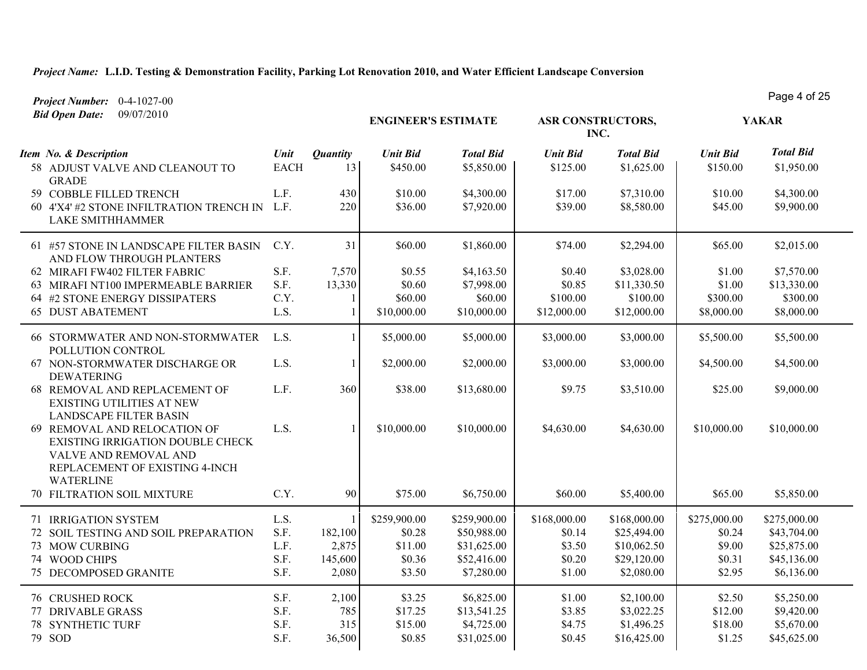*Project Number:* 0-4-1027-00

**ENGINEER'S ESTIMATE** *Unit Bid Total Bid* **ASR CONSTRUCTORS, YAKAR INC.** *Item No. & Description Unit Unit Bid Total Bid Unit Bid Total Bid Bid Open Date:* 09/07/2010 *<u>Unit Bid</u>*  58 ADJUST VALVE AND CLEANOUT TO GRADE EACH 13 \$450.00 \$5,850.00 \$125.00 \$1,625.00 \$150.00 \$1,950.00 59 COBBLE FILLED TRENCH L.F. 430 \$4,300.00 \$4,300.00 \$17.00 \$7,310.00 \$10.00 \$4,300.00 60 4'X4' #2 STONE INFILTRATION TRENCH IN LAKE SMITHHAMMER L.F. 220 \$36.00 \$7,920.00 \$39.00 \$8,580.00 \$45.00 \$9,900.00 61 #57 STONE IN LANDSCAPE FILTER BASIN AND FLOW THROUGH PLANTERS C.Y.  $31 \mid 560.00 \mid 51,860.00 \mid 574.00 \mid 52,294.00 \mid 565.00 \mid 52,015.00$ 62 MIRAFI FW402 FILTER FABRIC S.F. 7,570 \$0.55 \$4,163.50 \$0.40 \$3,028.00 \$1.00 \$7,570.00 63 MIRAFI NT100 IMPERMEABLE BARRIER S.F. 13.330 \$0.60 \$7.998.00 \$0.85 \$11.330.50 \$1.00 \$13.330.00 64 #2 STONE ENERGY DISSIPATERS C.Y. 1 \$60.00 \$60.00 \$60.00 \$100.00 \$100.00 \$300.00 \$300.00 65 DUST ABATEMENT L.S. 1 \$10,000.00 \$10,000.00 \$12,000.00 \$12,000.00 \$8,000.00 \$8,000.00 66 STORMWATER AND NON-STORMWATER POLLUTION CONTROL L.S. 1 \$5,000.00 \$5,000.00 \$3,000.00 \$3,000.00 \$5,500.00 \$5,500.00 67 NON-STORMWATER DISCHARGE OR DEWATERING L.S. 1 \$2,000.00 \$2,000.00 \$3,000.00 \$3,000.00 \$4,500.00 \$4,500.00 68 REMOVAL AND REPLACEMENT OF EXISTING UTILITIES AT NEW LANDSCAPE FILTER BASIN L.F. 360 \$38.00 \$13,680.00 \$9.75 \$3,510.00 \$25.00 \$9,000.00 69 REMOVAL AND RELOCATION OF EXISTING IRRIGATION DOUBLE CHECK VALVE AND REMOVAL AND REPLACEMENT OF EXISTING 4-INCH WATERLINE L.S. 1 \$10,000.00 \$10,000.00 \$4,630.00 \$4,630.00 \$10,000.00 \$10,000.00 70 FILTRATION SOIL MIXTURE C.Y. 90 \$75.00 \$6,750.00 \$60.00 \$5,400.00 \$65.00 \$5,850.00 71 IRRIGATION SYSTEM L.S. 1 \$259,900.00 \$259,900.00 \$168,000.00 \$168,000.00 \$275,000.00 \$275,000.00 72 SOIL TESTING AND SOIL PREPARATION S.F. 182,100 \$0.28 \$50,988.00 \$0.14 \$25,494.00 \$0.24 \$43,704.00 73 MOW CURBING L.F. 2,875 \$11.00 \$31,625.00 \$3.50 \$10,062.50 \$9.00 \$25,875.00 74 WOOD CHIPS S.F. 145,600 \$0.36 \$52,416.00 \$0.20 \$29,120.00 \$0.31 \$45,136.00 75 DECOMPOSED GRANITE S.F. 2.080 \$3.50 \$7.280.00 \$1.00 \$2.080.00 \$2.95 \$6.136.00 76 CRUSHED ROCK 55,250.00 S.F. 2,100 \$3.25 \$6,825.00 \$1.00 \$2,100.00 \$2.50 \$5,250.00 77 DRIVABLE GRASS SALE S.F. 785 \$17.25 \$13,541.25 \$3.85 \$3,022.25 \$12.00 \$9,420.00 78 SYNTHETIC TURF S.F. 315 \$15.00 \$4,725.00 \$4,725.00 \$4.75 \$1,496.25 \$18.00 \$5,670.00 79 SOD S.F. 36,500 \$0.85 \$31,025.00 \$0.45 \$16,425.00 \$1.25 \$45,625.00

Page 4 of 25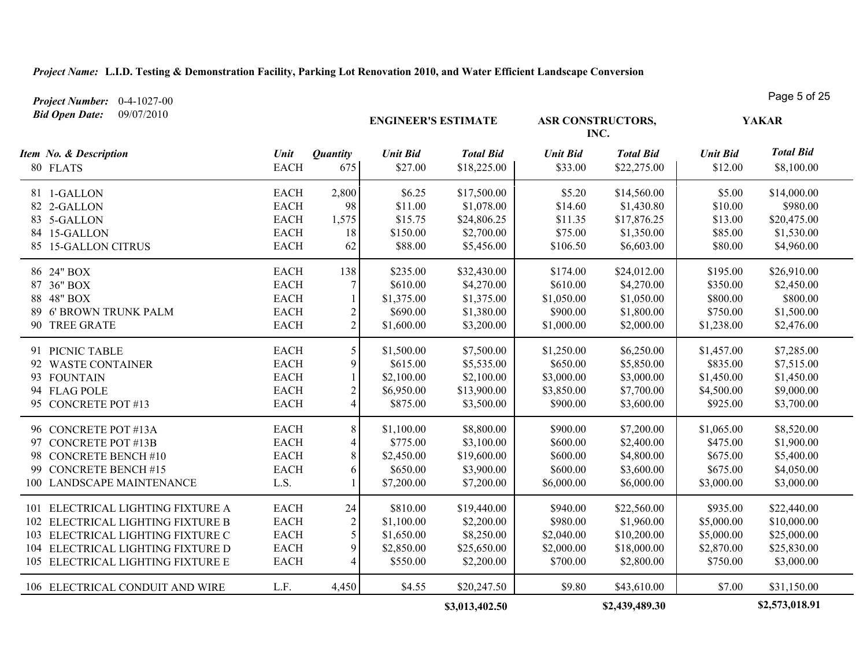*Project Number:* 0-4-1027-00

| <b>Bid Open Date:</b><br>09/07/2010                                                                                                                                                   |                                                                         |                                          | <b>ENGINEER'S ESTIMATE</b>                                     |                                                                      |                                                                | <b>ASR CONSTRUCTORS,</b><br>INC.                                      |                                                                | <b>YAKAR</b>                                                           |
|---------------------------------------------------------------------------------------------------------------------------------------------------------------------------------------|-------------------------------------------------------------------------|------------------------------------------|----------------------------------------------------------------|----------------------------------------------------------------------|----------------------------------------------------------------|-----------------------------------------------------------------------|----------------------------------------------------------------|------------------------------------------------------------------------|
| Item No. & Description<br>80 FLATS                                                                                                                                                    | Unit<br><b>EACH</b>                                                     | <b>Quantity</b><br>675                   | <b>Unit Bid</b><br>\$27.00                                     | <b>Total Bid</b><br>\$18,225.00                                      | <b>Unit Bid</b><br>\$33.00                                     | <b>Total Bid</b><br>\$22,275.00                                       | <b>Unit Bid</b><br>\$12.00                                     | <b>Total Bid</b><br>\$8,100.00                                         |
| 81 1-GALLON<br>82 2-GALLON<br>83 5-GALLON<br>84 15-GALLON<br>85 15-GALLON CITRUS                                                                                                      | <b>EACH</b><br><b>EACH</b><br><b>EACH</b><br><b>EACH</b><br><b>EACH</b> | 2,800<br>98<br>1,575<br>18<br>62         | \$6.25<br>\$11.00<br>\$15.75<br>\$150.00<br>\$88.00            | \$17,500.00<br>\$1,078.00<br>\$24,806.25<br>\$2,700.00<br>\$5,456.00 | \$5.20<br>\$14.60<br>\$11.35<br>\$75.00<br>\$106.50            | \$14,560.00<br>\$1,430.80<br>\$17,876.25<br>\$1,350.00<br>\$6,603.00  | \$5.00<br>\$10.00<br>\$13.00<br>\$85.00<br>\$80.00             | \$14,000.00<br>\$980.00<br>\$20,475.00<br>\$1,530.00<br>\$4,960.00     |
| 86 24" BOX<br>87 36" BOX<br>88 48" BOX<br>89 6' BROWN TRUNK PALM<br>90 TREE GRATE                                                                                                     | <b>EACH</b><br><b>EACH</b><br><b>EACH</b><br><b>EACH</b><br><b>EACH</b> | 138<br>7<br>2<br>$\overline{2}$          | \$235.00<br>\$610.00<br>\$1,375.00<br>\$690.00<br>\$1,600.00   | \$32,430.00<br>\$4,270.00<br>\$1,375.00<br>\$1,380.00<br>\$3,200.00  | \$174.00<br>\$610.00<br>\$1,050.00<br>\$900.00<br>\$1,000.00   | \$24,012.00<br>\$4,270.00<br>\$1,050.00<br>\$1,800.00<br>\$2,000.00   | \$195.00<br>\$350.00<br>\$800.00<br>\$750.00<br>\$1,238.00     | \$26,910.00<br>\$2,450.00<br>\$800.00<br>\$1,500.00<br>\$2,476.00      |
| 91 PICNIC TABLE<br>92 WASTE CONTAINER<br>93 FOUNTAIN<br>94 FLAG POLE<br>95 CONCRETE POT #13                                                                                           | <b>EACH</b><br><b>EACH</b><br><b>EACH</b><br><b>EACH</b><br><b>EACH</b> | 5<br>9<br>$\mathfrak{D}$                 | \$1,500.00<br>\$615.00<br>\$2,100.00<br>\$6,950.00<br>\$875.00 | \$7,500.00<br>\$5,535.00<br>\$2,100.00<br>\$13,900.00<br>\$3,500.00  | \$1,250.00<br>\$650.00<br>\$3,000.00<br>\$3,850.00<br>\$900.00 | \$6,250.00<br>\$5,850.00<br>\$3,000.00<br>\$7,700.00<br>\$3,600.00    | \$1,457.00<br>\$835.00<br>\$1,450.00<br>\$4,500.00<br>\$925.00 | \$7,285.00<br>\$7,515.00<br>\$1,450.00<br>\$9,000.00<br>\$3,700.00     |
| 96 CONCRETE POT #13A<br>97 CONCRETE POT #13B<br>98 CONCRETE BENCH #10<br>99 CONCRETE BENCH #15<br>100 LANDSCAPE MAINTENANCE                                                           | <b>EACH</b><br><b>EACH</b><br><b>EACH</b><br><b>EACH</b><br>L.S.        | 8<br>4<br>8<br>6                         | \$1,100.00<br>\$775.00<br>\$2,450.00<br>\$650.00<br>\$7,200.00 | \$8,800.00<br>\$3,100.00<br>\$19,600.00<br>\$3,900.00<br>\$7,200.00  | \$900.00<br>\$600.00<br>\$600.00<br>\$600.00<br>\$6,000.00     | \$7,200.00<br>\$2,400.00<br>\$4,800.00<br>\$3,600.00<br>\$6,000.00    | \$1,065.00<br>\$475.00<br>\$675.00<br>\$675.00<br>\$3,000.00   | \$8,520.00<br>\$1,900.00<br>\$5,400.00<br>\$4,050.00<br>\$3,000.00     |
| 101 ELECTRICAL LIGHTING FIXTURE A<br>102 ELECTRICAL LIGHTING FIXTURE B<br>103 ELECTRICAL LIGHTING FIXTURE C<br>104 ELECTRICAL LIGHTING FIXTURE D<br>105 ELECTRICAL LIGHTING FIXTURE E | <b>EACH</b><br><b>EACH</b><br><b>EACH</b><br><b>EACH</b><br><b>EACH</b> | 24<br>$\overline{2}$<br>5<br>$\mathbf Q$ | \$810.00<br>\$1,100.00<br>\$1,650.00<br>\$2,850.00<br>\$550.00 | \$19,440.00<br>\$2,200.00<br>\$8,250.00<br>\$25,650.00<br>\$2,200.00 | \$940.00<br>\$980.00<br>\$2,040.00<br>\$2,000.00<br>\$700.00   | \$22,560.00<br>\$1,960.00<br>\$10,200.00<br>\$18,000.00<br>\$2,800.00 | \$935.00<br>\$5,000.00<br>\$5,000.00<br>\$2,870.00<br>\$750.00 | \$22,440.00<br>\$10,000.00<br>\$25,000.00<br>\$25,830.00<br>\$3,000.00 |
| 106 ELECTRICAL CONDUIT AND WIRE                                                                                                                                                       | L.F.                                                                    | 4,450                                    | \$4.55                                                         | \$20,247.50<br>\$3,013,402.50                                        | \$9.80                                                         | \$43,610.00<br>\$2,439,489.30                                         | \$7.00                                                         | \$31,150.00<br>\$2,573,018.91                                          |

Page 5 of 25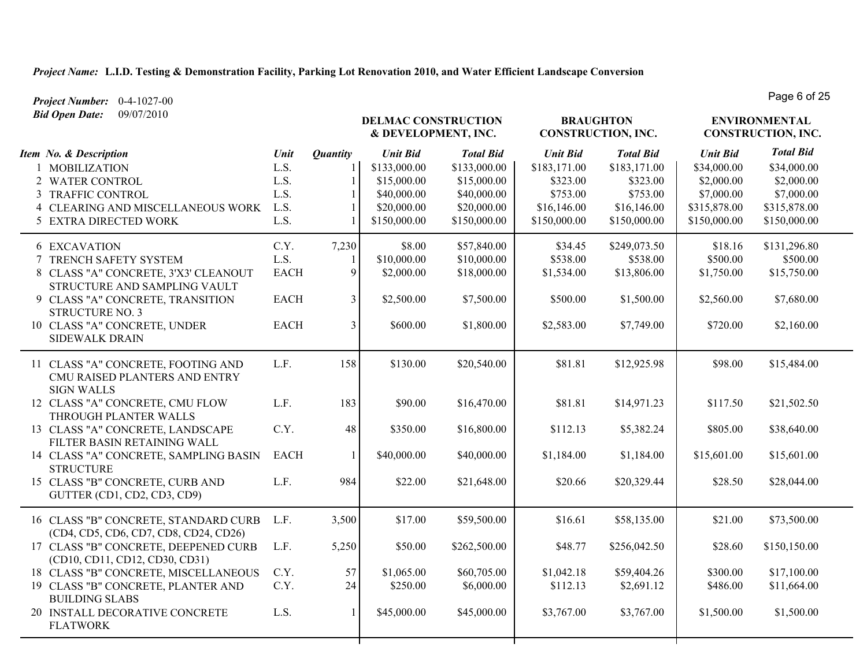*Project Number:* 0-4-1027-00 *Bid Open Date:* 09/07/2010

**DELMAC CONSTRUCTION & DEVELOPMENT, INC.** *Unit Bid Total Bid* **ENVIRONMENTAL CONSTRUCTION, INC. BRAUGHTON CONSTRUCTION, INC.** *Item No. & Description Unit Unit Bid Total Bid Unit Bid Total Bid Quantity* 1 MOBILIZATION L.S. 1 \$133,000.00 \$133,000.00 \$183,171.00 \$183,171.00 \$34,000.00 \$34,000.00 2 WATER CONTROL 2 L.S. 1 \$15,000.00 \$15,000.00 \$323.00 \$323.00 \$2,000.00 \$2,000.00 3 TRAFFIC CONTROL L.S. 1 \$40,000.00 \$40,000.00 \$753.00 \$753.00 \$7,000.00 \$7,000.00 4 CLEARING AND MISCELLANEOUS WORK L.S. 1 \$20,000.00 \$20,000.00 \$16,146.00 \$16,146.00 \$315,878.00 \$315,878.00 5 EXTRA DIRECTED WORK L.S. 1 \$150,000.00 \$150,000.00 \$150,000.00 \$150,000.00 \$150,000.00 \$150,000.00 6 EXCAVATION C.Y. 7,230 \$8.00 \$57,840.00 \$34.45 \$249,073.50 \$18.16 \$131,296.80 7 TRENCH SAFETY SYSTEM L.S. 1 \$10,000.00 \$10,000.00 \$538.00 \$538.00 \$500.00 \$500.00 8 CLASS "A" CONCRETE, 3'X3' CLEANOUT STRUCTURE AND SAMPLING VAULT EACH 9 \$2,000.00 \$18,000.00 \$1,534.00 \$13,806.00 \$1,750.00 \$15,750.00 9 CLASS "A" CONCRETE, TRANSITION STRUCTURE NO. 3 EACH 3 \$2,500.00 \$7,500.00 \$500.00 \$1,500.00 \$2,560.00 \$7,680.00 10 CLASS "A" CONCRETE, UNDER SIDEWALK DRAIN EACH 3 \$600.00 \$1,800.00 \$2,583.00 \$7,749.00 \$720.00 \$2,160.00 11 CLASS "A" CONCRETE, FOOTING AND CMU RAISED PLANTERS AND ENTRY SIGN WALLS L.F. 158 \$130.00 \$20,540.00 \$81.81 \$12,925.98 \$98.00 \$15,484.00 12 CLASS "A" CONCRETE, CMU FLOW THROUGH PLANTER WALLS L.F. 183 \$90.00 \$16,470.00 \$81.81 \$14,971.23 \$117.50 \$21,502.50 13 CLASS "A" CONCRETE, LANDSCAPE FILTER BASIN RETAINING WALL C.Y. 48 \$350.00 \$16,800.00 \$112.13 \$5,382.24 \$805.00 \$38,640.00 14 CLASS "A" CONCRETE, SAMPLING BASIN **STRUCTURE** EACH 1 \$40,000.00 \$40,000.00 \$1,184.00 \$1,184.00 \$15,601.00 \$15,601.00 15 CLASS "B" CONCRETE, CURB AND GUTTER (CD1, CD2, CD3, CD9) L.F. 984 \$22.00 \$21,648.00 \$20.66 \$20,329.44 \$28.50 \$28,044.00 16 CLASS "B" CONCRETE, STANDARD CURB (CD4, CD5, CD6, CD7, CD8, CD24, CD26) L.F. 3,500 \$17.00 \$59,500.00 \$16.61 \$58,135.00 \$21.00 \$73,500.00 17 CLASS "B" CONCRETE, DEEPENED CURB (CD10, CD11, CD12, CD30, CD31) L.F. 5,250 \$50.00 \$262,500.00 \$48.77 \$256,042.50 \$28.60 \$150,150.00 18 CLASS "B" CONCRETE, MISCELLANEOUS C.Y. 57 \$1,065.00 \$60,705.00 \$1,042.18 \$59,404.26 \$300.00 \$17,100.00 19 CLASS "B" CONCRETE, PLANTER AND BUILDING SLABS C.Y. 24  $\begin{array}{|l} 250.00 \ 3250.00 \ 66,000.00 \end{array}$  \$112.13 \$2,691.12 \$486.00 \$11,664.00 20 INSTALL DECORATIVE CONCRETE FLATWORK L.S. 1 \$45,000.00 \$45,000.00 \$3,767.00 \$3,767.00 \$1,500.00 \$1,500.00

Page 6 of 25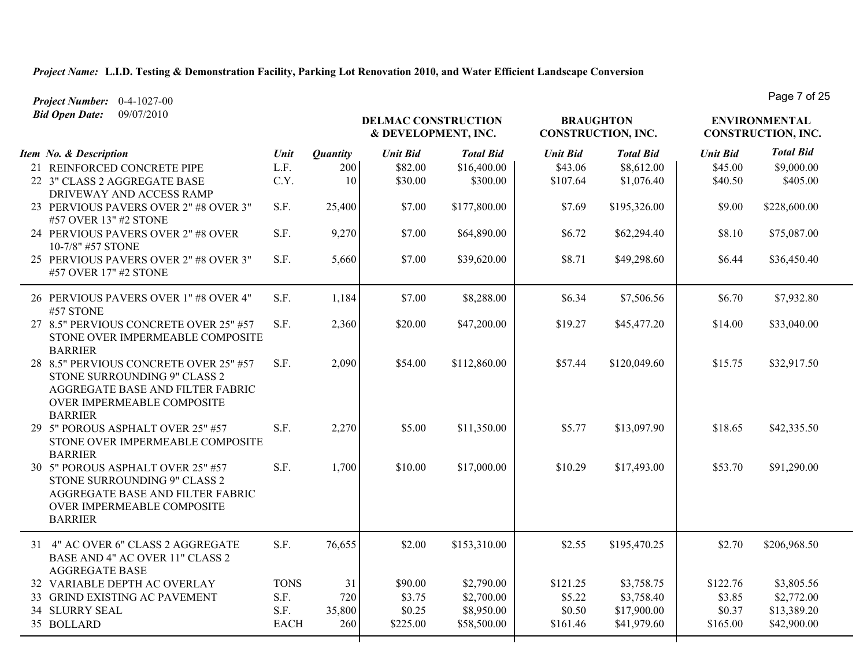*Project Number:* 0-4-1027-00

| <b>Bid Open Date:</b><br>09/07/2010                                                                                                                        |             |                 |                 | <b>DELMAC CONSTRUCTION</b><br>& DEVELOPMENT, INC. |                 | <b>BRAUGHTON</b><br>CONSTRUCTION, INC. |                 | <b>ENVIRONMENTAL</b><br>CONSTRUCTION, INC. |  |
|------------------------------------------------------------------------------------------------------------------------------------------------------------|-------------|-----------------|-----------------|---------------------------------------------------|-----------------|----------------------------------------|-----------------|--------------------------------------------|--|
| Item No. & Description                                                                                                                                     | Unit        | <b>Quantity</b> | <b>Unit Bid</b> | <b>Total Bid</b>                                  | <b>Unit Bid</b> | <b>Total Bid</b>                       | <b>Unit Bid</b> | <b>Total Bid</b>                           |  |
| 21 REINFORCED CONCRETE PIPE                                                                                                                                | L.F.        | 200             | \$82.00         | \$16,400.00                                       | \$43.06         | \$8,612.00                             | \$45.00         | \$9,000.00                                 |  |
| 22 3" CLASS 2 AGGREGATE BASE<br>DRIVEWAY AND ACCESS RAMP                                                                                                   | C.Y.        | 10              | \$30.00         | \$300.00                                          | \$107.64        | \$1,076.40                             | \$40.50         | \$405.00                                   |  |
| 23 PERVIOUS PAVERS OVER 2" #8 OVER 3"<br>#57 OVER 13" #2 STONE                                                                                             | S.F.        | 25,400          | \$7.00          | \$177,800.00                                      | \$7.69          | \$195,326.00                           | \$9.00          | \$228,600.00                               |  |
| 24 PERVIOUS PAVERS OVER 2" #8 OVER<br>10-7/8" #57 STONE                                                                                                    | S.F.        | 9,270           | \$7.00          | \$64,890.00                                       | \$6.72          | \$62,294.40                            | \$8.10          | \$75,087.00                                |  |
| 25 PERVIOUS PAVERS OVER 2" #8 OVER 3"<br>#57 OVER 17" #2 STONE                                                                                             | S.F.        | 5,660           | \$7.00          | \$39,620.00                                       | \$8.71          | \$49,298.60                            | \$6.44          | \$36,450.40                                |  |
| 26 PERVIOUS PAVERS OVER 1" #8 OVER 4"<br>#57 STONE                                                                                                         | S.F.        | 1,184           | \$7.00          | \$8,288.00                                        | \$6.34          | \$7,506.56                             | \$6.70          | \$7,932.80                                 |  |
| 27 8.5" PERVIOUS CONCRETE OVER 25" #57<br>STONE OVER IMPERMEABLE COMPOSITE<br><b>BARRIER</b>                                                               | S.F.        | 2,360           | \$20.00         | \$47,200.00                                       | \$19.27         | \$45,477.20                            | \$14.00         | \$33,040.00                                |  |
| 28 8.5" PERVIOUS CONCRETE OVER 25" #57<br>STONE SURROUNDING 9" CLASS 2<br>AGGREGATE BASE AND FILTER FABRIC<br>OVER IMPERMEABLE COMPOSITE<br><b>BARRIER</b> | S.F.        | 2,090           | \$54.00         | \$112,860.00                                      | \$57.44         | \$120,049.60                           | \$15.75         | \$32,917.50                                |  |
| 29 5" POROUS ASPHALT OVER 25" #57<br>STONE OVER IMPERMEABLE COMPOSITE<br><b>BARRIER</b>                                                                    | S.F.        | 2,270           | \$5.00          | \$11,350.00                                       | \$5.77          | \$13,097.90                            | \$18.65         | \$42,335.50                                |  |
| 30 5" POROUS ASPHALT OVER 25" #57<br>STONE SURROUNDING 9" CLASS 2<br>AGGREGATE BASE AND FILTER FABRIC<br>OVER IMPERMEABLE COMPOSITE<br><b>BARRIER</b>      | S.F.        | 1,700           | \$10.00         | \$17,000.00                                       | \$10.29         | \$17,493.00                            | \$53.70         | \$91,290.00                                |  |
| 31 4" AC OVER 6" CLASS 2 AGGREGATE<br>BASE AND 4" AC OVER 11" CLASS 2<br><b>AGGREGATE BASE</b>                                                             | S.F.        | 76,655          | \$2.00          | \$153,310.00                                      | \$2.55          | \$195,470.25                           | \$2.70          | \$206,968.50                               |  |
| 32 VARIABLE DEPTH AC OVERLAY                                                                                                                               | <b>TONS</b> | 31              | \$90.00         | \$2,790.00                                        | \$121.25        | \$3,758.75                             | \$122.76        | \$3,805.56                                 |  |
| 33 GRIND EXISTING AC PAVEMENT                                                                                                                              | S.F.        | 720             | \$3.75          | \$2,700.00                                        | \$5.22          | \$3,758.40                             | \$3.85          | \$2,772.00                                 |  |
| <b>34 SLURRY SEAL</b>                                                                                                                                      | S.F.        | 35,800          | \$0.25          | \$8,950.00                                        | \$0.50          | \$17,900.00                            | \$0.37          | \$13,389.20                                |  |
| 35 BOLLARD                                                                                                                                                 | <b>EACH</b> | 260             | \$225.00        | \$58,500.00                                       | \$161.46        | \$41,979.60                            | \$165.00        | \$42,900.00                                |  |

Page 7 of 25

т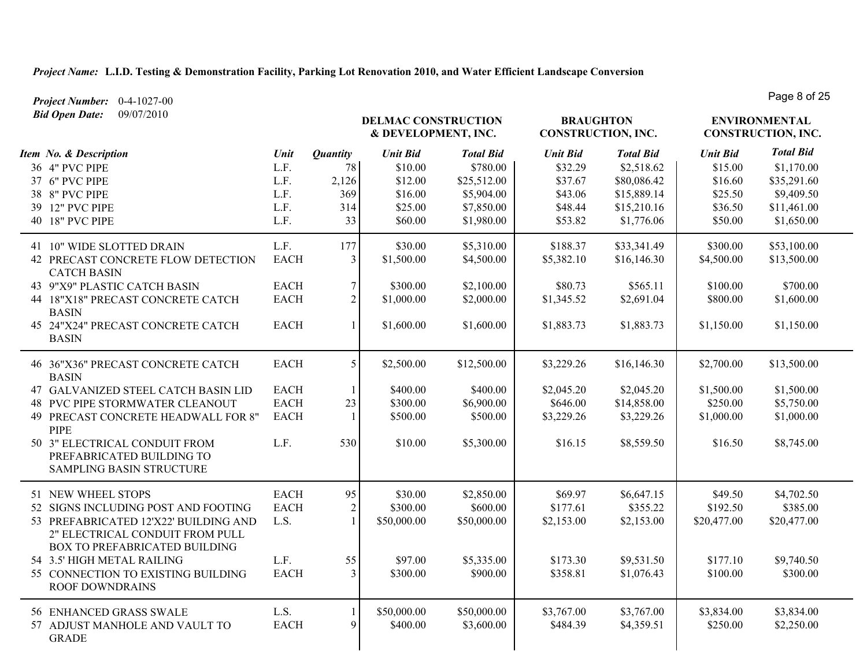*Project Number:* 0-4-1027-00 *Bid Open Date:* 09/07/2010

**DELMAC CONSTRUCTION & DEVELOPMENT, INC.** *Unit Bid Total Bid* **ENVIRONMENTAL CONSTRUCTION, INC. BRAUGHTON CONSTRUCTION, INC.** *Item No. & Description Unit Unit Bid Total Bid Unit Bid Total Bid Quantity* 36 4" PVC PIPE 2000 L.F. 78 \$10.00 \$780.00 \$2780.00 \$32.29 \$2,518.62 \$15.00 \$1,170.00 37 6" PVC PIPE L.F. 2,126 \$12.00 \$25,512.00 \$37.67 \$80,086.42 \$16.60 \$35,291.60 38 8" PVC PIPE 2001 L.F. 369 \$16.00 \$5,904.00 \$43.06 \$15,889.14 \$25.50 \$9,409.50 39 12" PVC PIPE L.F. 2314 \$25.00 \$7,850.00 \$48.44 \$15,210.16 \$36.50 \$11,461.00 40 18" PVC PIPE L.F. L.F. 33 \$60.00 \$1,980.00 \$53.82 \$1,776.06 \$50.00 \$1,650.00 41 10" WIDE SLOTTED DRAIN L.F. 177 \$30.00 \$5,310.00 \$188.37 \$33,341.49 \$300.00 \$53,100.00 42 PRECAST CONCRETE FLOW DETECTION CATCH BASIN EACH 3 \$1,500.00 \$4,500.00 \$5,382.10 \$16,146.30 \$4,500.00 \$13,500.00 43 9"X9" PLASTIC CATCH BASIN EACH 7 \$300.00 \$2,100.00 \$80.73 \$565.11 \$100.00 \$700.00 44 18"X18" PRECAST CONCRETE CATCH BASIN EACH 2 \$1,000.00 \$2,000.00 \$1,345.52 \$2,691.04 \$800.00 \$1,600.00 45 24"X24" PRECAST CONCRETE CATCH BASIN EACH 1 \$1,600.00 \$1,600.00 \$1,883.73 \$1,883.73 \$1,150.00 \$1,150.00 46 36"X36" PRECAST CONCRETE CATCH BASIN EACH 5 \$2,500.00 \$12,500.00 \$33,229.26 \$16,146.30 \$2,700.00 \$13,500.00 47 GALVANIZED STEEL CATCH BASIN LID EACH 1 \$400.00 \$400.00 \$2,045.20 \$2,045.20 \$1,500.00 \$1,500.00 48 PVC PIPE STORMWATER CLEANOUT EACH 23 \$300.00 \$6,900.00 \$646.00 \$14,858.00 \$250.00 \$5,750.00 49 PRECAST CONCRETE HEADWALL FOR 8" PIPE EACH 1 \$500.00 \$500.00 \$3,229.26 \$3,229.26 \$1,000.00 \$1,000.00 50 3" ELECTRICAL CONDUIT FROM PREFABRICATED BUILDING TO SAMPLING BASIN STRUCTURE L.F. 530 \$10.00 \$5,300.00 \$16.15 \$8,559.50 \$16.50 \$8,745.00 51 NEW WHEEL STOPS 6.647.15 **EACH** 95 **\$4,702.50** \$30.00 \$2,850.00 \$69.97 \$6,647.15 \$49.50 \$4,702.50 52 SIGNS INCLUDING POST AND FOOTING EACH 2 \$300.00 \$600.00 \$600.00 \$177.61 \$355.22 \$192.50 \$385.00 53 PREFABRICATED 12'X22' BUILDING AND 2" ELECTRICAL CONDUIT FROM PULL BOX TO PREFABRICATED BUILDING L.S. 1 \$50,000.00 \$50,000.00 \$2,153.00 \$2,153.00 \$20,477.00 \$20,477.00 54 3.5' HIGH METAL RAILING  $L.F.$  55 \$97.00 \$5,335.00 \$173.30 \$9,531.50 \$177.10 \$9,740.50 55 CONNECTION TO EXISTING BUILDING ROOF DOWNDRAINS EACH 3 \$300.00 \$900.00 \$358.81 \$1,076.43 \$100.00 \$300.00 56 ENHANCED GRASS SWALE L.S. 1 \$50,000.00 \$50,000.00 \$3,767.00 \$3,767.00 \$3,834.00 \$3,834.00 57 ADJUST MANHOLE AND VAULT TO GRADE EACH 9 \$400.00 \$3,600.00 \$484.39 \$4,359.51 \$250.00 \$2,250.00

Page 8 of 25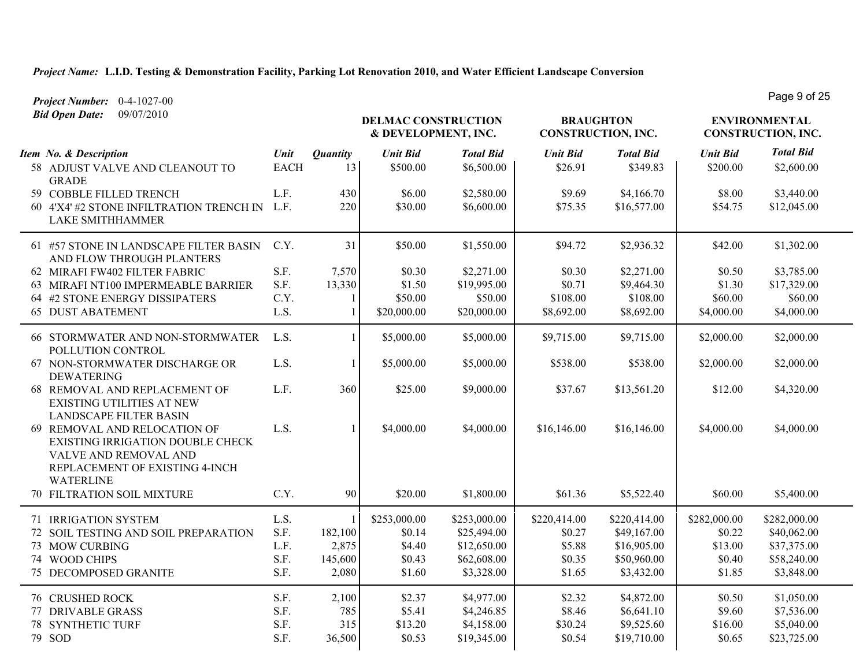**DELMAC CONSTRUCTION & DEVELOPMENT, INC.** *Unit Bid Total Bid* **ENVIRONMENTAL CONSTRUCTION, INC. BRAUGHTON CONSTRUCTION, INC.** *Item No. & Description Unit Unit Bid Total Bid Unit Bid Total Bid Project Number:* 0-4-1027-00 *Bid Open Date:* 09/07/2010 Page 9 of 25 *Quantity* 58 ADJUST VALVE AND CLEANOUT TO GRADE EACH 13 \$500.00 \$6,500.00 \$250.91 \$249.83 \$249.83 \$200.00 \$2,600.00 59 COBBLE FILLED TRENCH L.F. 430 \$6.00 \$2,580.00 \$9.69 \$4,166.70 \$8.00 \$3,440.00 60 4'X4' #2 STONE INFILTRATION TRENCH IN LAKE SMITHHAMMER L.F. 220 \$30.00 \$6,600.00 \$75.35 \$16,577.00 \$54.75 \$12,045.00 AND FLOW THROUGH PLANTERS C.Y.  $31 \mid 550.00 \mid 51,550.00 \mid 594.72 \mid 52,936.32 \mid 542.00 \mid 51,302.00$ 62 MIRAFI FW402 FILTER FABRIC S.F. 7,570 \$0.30 \$2,271.00 \$0.30 \$2,271.00 \$0.30 \$0.50 \$3,785.00 63 MIRAFI NT100 IMPERMEABLE BARRIER S.F. 13,330 \$1.50 \$19,995.00 \$0.71 \$9,464.30 \$1.30 \$17,329.00 64 #2 STONE ENERGY DISSIPATERS C.Y. 1 \$50.00 \$50.00 \$108.00 \$108.00 \$60.00 \$60.00 65 DUST ABATEMENT **L.S.** 1 \$20,000.00 \$20,000.00 \$8,692.00 \$8,692.00 \$4,000.00 \$4,000.00 POLLUTION CONTROL L.S. 1 \$5,000.00 \$5,000.00 \$9,715.00 \$9,715.00 \$2,000.00 \$2,000.00 DEWATERING L.S. 1 \$5,000.00 \$5,000.00 \$538.00 \$538.00 \$2,000.00 \$2,000.00 EXISTING UTILITIES AT NEW L.F. 360 \$25.00 \$9,000.00 \$37.67 \$13,561.20 \$12.00 \$4,320.00

| 61 #57 STONE IN LANDSCAPE FILTER BASIN<br>AND FLOW THROUGH PLANTERS                                                                                    | C.Y. | 31      | \$50.00      | \$1,550.00   | \$94.72      | \$2,936.32   | \$42.00      | \$1,302.00   |  |
|--------------------------------------------------------------------------------------------------------------------------------------------------------|------|---------|--------------|--------------|--------------|--------------|--------------|--------------|--|
| 62 MIRAFI FW402 FILTER FABRIC                                                                                                                          | S.F. | 7,570   | \$0.30       | \$2,271.00   | \$0.30       | \$2,271.00   | \$0.50       | \$3,785.00   |  |
| 63 MIRAFI NT100 IMPERMEABLE BARRIER                                                                                                                    | S.F. | 13,330  | \$1.50       | \$19,995.00  | \$0.71       | \$9,464.30   | \$1.30       | \$17,329.00  |  |
| 64 #2 STONE ENERGY DISSIPATERS                                                                                                                         | C.Y. |         | \$50.00      | \$50.00      | \$108.00     | \$108.00     | \$60.00      | \$60.00      |  |
| <b>65 DUST ABATEMENT</b>                                                                                                                               | L.S. |         | \$20,000.00  | \$20,000.00  | \$8,692.00   | \$8,692.00   | \$4,000.00   | \$4,000.00   |  |
| 66 STORMWATER AND NON-STORMWATER<br>POLLUTION CONTROL                                                                                                  | L.S. |         | \$5,000.00   | \$5,000.00   | \$9,715.00   | \$9,715.00   | \$2,000.00   | \$2,000.00   |  |
| 67 NON-STORMWATER DISCHARGE OR<br><b>DEWATERING</b>                                                                                                    | L.S. |         | \$5,000.00   | \$5,000.00   | \$538.00     | \$538.00     | \$2,000.00   | \$2,000.00   |  |
| 68 REMOVAL AND REPLACEMENT OF<br><b>EXISTING UTILITIES AT NEW</b><br><b>LANDSCAPE FILTER BASIN</b>                                                     | L.F. | 360     | \$25.00      | \$9,000.00   | \$37.67      | \$13,561.20  | \$12.00      | \$4,320.00   |  |
| 69 REMOVAL AND RELOCATION OF<br><b>EXISTING IRRIGATION DOUBLE CHECK</b><br>VALVE AND REMOVAL AND<br>REPLACEMENT OF EXISTING 4-INCH<br><b>WATERLINE</b> | L.S. |         | \$4,000.00   | \$4,000.00   | \$16,146.00  | \$16,146.00  | \$4,000.00   | \$4,000.00   |  |
| <b>70 FILTRATION SOIL MIXTURE</b>                                                                                                                      | C.Y. | 90      | \$20.00      | \$1,800.00   | \$61.36      | \$5,522.40   | \$60.00      | \$5,400.00   |  |
| 71 IRRIGATION SYSTEM                                                                                                                                   | L.S. |         | \$253,000.00 | \$253,000.00 | \$220,414.00 | \$220,414.00 | \$282,000.00 | \$282,000.00 |  |
| 72 SOIL TESTING AND SOIL PREPARATION                                                                                                                   | S.F. | 182,100 | \$0.14       | \$25,494.00  | \$0.27       | \$49,167.00  | \$0.22       | \$40,062.00  |  |
| 73 MOW CURBING                                                                                                                                         | L.F. | 2,875   | \$4.40       | \$12,650.00  | \$5.88       | \$16,905.00  | \$13.00      | \$37,375.00  |  |
| 74 WOOD CHIPS                                                                                                                                          | S.F. | 145,600 | \$0.43       | \$62,608.00  | \$0.35       | \$50,960.00  | \$0.40       | \$58,240.00  |  |
| <b>75 DECOMPOSED GRANITE</b>                                                                                                                           | S.F. | 2,080   | \$1.60       | \$3,328.00   | \$1.65       | \$3,432.00   | \$1.85       | \$3,848.00   |  |
| <b>76 CRUSHED ROCK</b>                                                                                                                                 | S.F. | 2,100   | \$2.37       | \$4,977.00   | \$2.32       | \$4,872.00   | \$0.50       | \$1,050.00   |  |
| 77 DRIVABLE GRASS                                                                                                                                      | S.F. | 785     | \$5.41       | \$4,246.85   | \$8.46       | \$6,641.10   | \$9.60       | \$7,536.00   |  |
| <b>78 SYNTHETIC TURF</b>                                                                                                                               | S.F. | 315     | \$13.20      | \$4,158.00   | \$30.24      | \$9,525.60   | \$16.00      | \$5,040.00   |  |
| 79 SOD                                                                                                                                                 | S.F. | 36,500  | \$0.53       | \$19,345.00  | \$0.54       | \$19,710.00  | \$0.65       | \$23,725.00  |  |
|                                                                                                                                                        |      |         |              |              |              |              |              |              |  |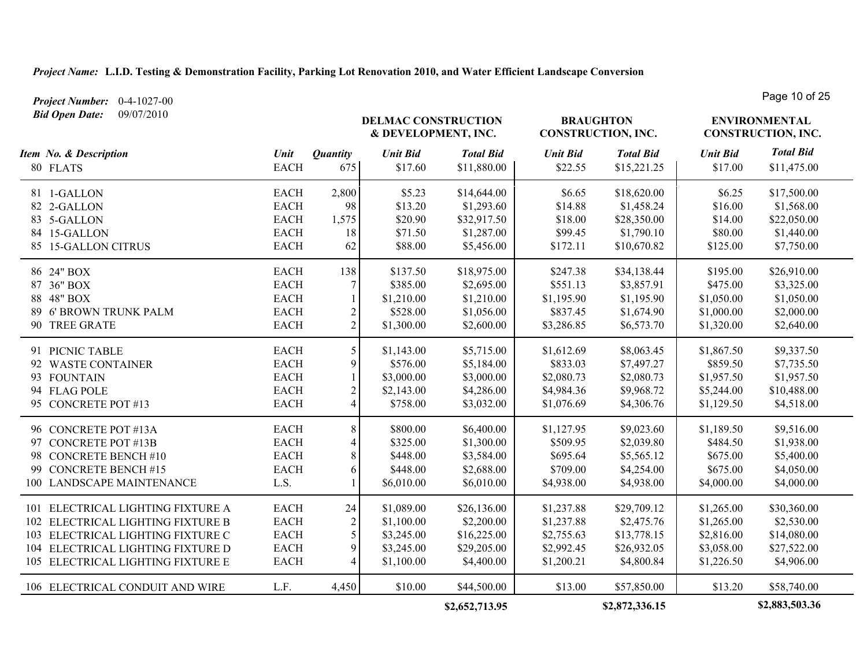*Project Number:* 0-4-1027-00

Page 10 of 25

| <b>Bid Open Date:</b><br>09/07/2010                                                                                                                                                   |                                                                           |                                                               | <b>DELMAC CONSTRUCTION</b><br>& DEVELOPMENT, INC.                  |                                                                       | <b>BRAUGHTON</b><br><b>CONSTRUCTION, INC.</b>                      |                                                                       | <b>ENVIRONMENTAL</b><br>CONSTRUCTION, INC.                         |                                                                       |
|---------------------------------------------------------------------------------------------------------------------------------------------------------------------------------------|---------------------------------------------------------------------------|---------------------------------------------------------------|--------------------------------------------------------------------|-----------------------------------------------------------------------|--------------------------------------------------------------------|-----------------------------------------------------------------------|--------------------------------------------------------------------|-----------------------------------------------------------------------|
| Item No. & Description<br>80 FLATS                                                                                                                                                    | Unit<br><b>EACH</b>                                                       | <b>Quantity</b><br>675                                        | <b>Unit Bid</b><br>\$17.60                                         | <b>Total Bid</b><br>\$11,880.00                                       | <b>Unit Bid</b><br>\$22.55                                         | <b>Total Bid</b><br>\$15,221.25                                       | <b>Unit Bid</b><br>\$17.00                                         | <b>Total Bid</b><br>\$11,475.00                                       |
| 81 1-GALLON<br>82 2-GALLON<br>83 5-GALLON<br>84 15-GALLON<br>85 15-GALLON CITRUS                                                                                                      | <b>EACH</b><br><b>EACH</b><br><b>EACH</b><br><b>EACH</b><br><b>EACH</b>   | 2,800<br>98<br>1,575<br>18<br>62                              | \$5.23<br>\$13.20<br>\$20.90<br>\$71.50<br>\$88.00                 | \$14,644.00<br>\$1,293.60<br>\$32,917.50<br>\$1,287.00<br>\$5,456.00  | \$6.65<br>\$14.88<br>\$18.00<br>\$99.45<br>\$172.11                | \$18,620.00<br>\$1,458.24<br>\$28,350.00<br>\$1,790.10<br>\$10,670.82 | \$6.25<br>\$16.00<br>\$14.00<br>\$80.00<br>\$125.00                | \$17,500.00<br>\$1,568.00<br>\$22,050.00<br>\$1,440.00<br>\$7,750.00  |
| 86 24" BOX<br>87 36" BOX<br>88 48" BOX<br>89 6' BROWN TRUNK PALM<br>90 TREE GRATE                                                                                                     | <b>EACH</b><br><b>EACH</b><br>$_{\rm EACH}$<br><b>EACH</b><br><b>EACH</b> | 138<br>7<br>$\overline{2}$<br>$\overline{2}$                  | \$137.50<br>\$385.00<br>\$1,210.00<br>\$528.00<br>\$1,300.00       | \$18,975.00<br>\$2,695.00<br>\$1,210.00<br>\$1,056.00<br>\$2,600.00   | \$247.38<br>\$551.13<br>\$1,195.90<br>\$837.45<br>\$3,286.85       | \$34,138.44<br>\$3,857.91<br>\$1,195.90<br>\$1,674.90<br>\$6,573.70   | \$195.00<br>\$475.00<br>\$1,050.00<br>\$1,000.00<br>\$1,320.00     | \$26,910.00<br>\$3,325.00<br>\$1,050.00<br>\$2,000.00<br>\$2,640.00   |
| 91 PICNIC TABLE<br>92 WASTE CONTAINER<br>93 FOUNTAIN<br>94 FLAG POLE<br>95 CONCRETE POT #13                                                                                           | <b>EACH</b><br><b>EACH</b><br><b>EACH</b><br><b>EACH</b><br><b>EACH</b>   | 5<br>9<br>$\overline{2}$<br>$\overline{4}$                    | \$1,143.00<br>\$576.00<br>\$3,000.00<br>\$2,143.00<br>\$758.00     | \$5,715.00<br>\$5,184.00<br>\$3,000.00<br>\$4,286.00<br>\$3,032.00    | \$1,612.69<br>\$833.03<br>\$2,080.73<br>\$4,984.36<br>\$1,076.69   | \$8,063.45<br>\$7,497.27<br>\$2,080.73<br>\$9,968.72<br>\$4,306.76    | \$1,867.50<br>\$859.50<br>\$1,957.50<br>\$5,244.00<br>\$1,129.50   | \$9,337.50<br>\$7,735.50<br>\$1,957.50<br>\$10,488.00<br>\$4,518.00   |
| 96 CONCRETE POT #13A<br>97 CONCRETE POT #13B<br>98 CONCRETE BENCH #10<br>99 CONCRETE BENCH #15<br>100 LANDSCAPE MAINTENANCE                                                           | <b>EACH</b><br><b>EACH</b><br><b>EACH</b><br><b>EACH</b><br>L.S.          | 8<br>$\overline{4}$<br>8<br>6                                 | \$800.00<br>\$325.00<br>\$448.00<br>\$448.00<br>\$6,010.00         | \$6,400.00<br>\$1,300.00<br>\$3,584.00<br>\$2,688.00<br>\$6,010.00    | \$1,127.95<br>\$509.95<br>\$695.64<br>\$709.00<br>\$4,938.00       | \$9,023.60<br>\$2,039.80<br>\$5,565.12<br>\$4,254.00<br>\$4,938.00    | \$1,189.50<br>\$484.50<br>\$675.00<br>\$675.00<br>\$4,000.00       | \$9,516.00<br>\$1,938.00<br>\$5,400.00<br>\$4,050.00<br>\$4,000.00    |
| 101 ELECTRICAL LIGHTING FIXTURE A<br>102 ELECTRICAL LIGHTING FIXTURE B<br>103 ELECTRICAL LIGHTING FIXTURE C<br>104 ELECTRICAL LIGHTING FIXTURE D<br>105 ELECTRICAL LIGHTING FIXTURE E | <b>EACH</b><br><b>EACH</b><br><b>EACH</b><br><b>EACH</b><br><b>EACH</b>   | 24<br>$\overline{2}$<br>5<br>9<br>$\boldsymbol{\vartriangle}$ | \$1,089.00<br>\$1,100.00<br>\$3,245.00<br>\$3,245.00<br>\$1,100.00 | \$26,136.00<br>\$2,200.00<br>\$16,225.00<br>\$29,205.00<br>\$4,400.00 | \$1,237.88<br>\$1,237.88<br>\$2,755.63<br>\$2,992.45<br>\$1,200.21 | \$29,709.12<br>\$2,475.76<br>\$13,778.15<br>\$26,932.05<br>\$4,800.84 | \$1,265.00<br>\$1,265.00<br>\$2,816.00<br>\$3,058.00<br>\$1,226.50 | \$30,360.00<br>\$2,530.00<br>\$14,080.00<br>\$27,522.00<br>\$4,906.00 |
| 106 ELECTRICAL CONDUIT AND WIRE                                                                                                                                                       | L.F.                                                                      | 4,450                                                         | \$10.00                                                            | \$44,500.00<br>\$2,652,713.95                                         | \$13.00                                                            | \$57,850.00<br>\$2,872,336.15                                         | \$13.20                                                            | \$58,740.00<br>\$2,883,503.36                                         |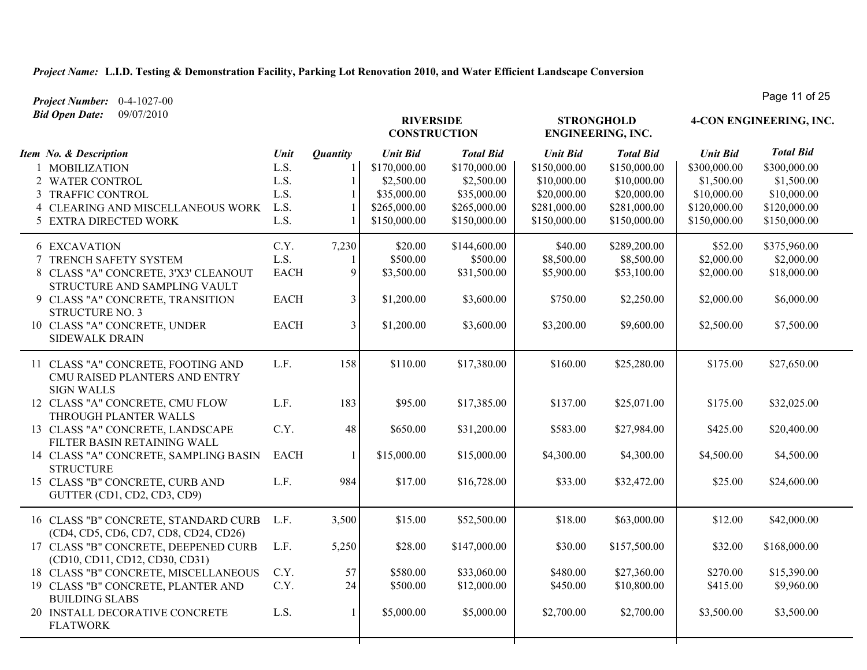*Project Number:* 0-4-1027-00 *Bid Open Date:* 09/07/2010

| Du Open Duit.                                                                                                                                                                                                                                |                                                           |                                                     | <b>RIVERSIDE</b><br><b>CONSTRUCTION</b>                                                      |                                                                                               |                                                                                               | <b>STRONGHOLD</b><br><b>ENGINEERING, INC.</b>                                                  |                                                                                              | 4-CON ENGINEERING, INC.                                                                       |
|----------------------------------------------------------------------------------------------------------------------------------------------------------------------------------------------------------------------------------------------|-----------------------------------------------------------|-----------------------------------------------------|----------------------------------------------------------------------------------------------|-----------------------------------------------------------------------------------------------|-----------------------------------------------------------------------------------------------|------------------------------------------------------------------------------------------------|----------------------------------------------------------------------------------------------|-----------------------------------------------------------------------------------------------|
| Item No. & Description<br>1 MOBILIZATION<br>2 WATER CONTROL<br>3 TRAFFIC CONTROL<br>4 CLEARING AND MISCELLANEOUS WORK<br>5 EXTRA DIRECTED WORK                                                                                               | Unit<br>L.S.<br>L.S.<br>L.S.<br>L.S.<br>L.S.              | <b>Quantity</b><br>$\mathbf{1}$                     | <b>Unit Bid</b><br>\$170,000.00<br>\$2,500.00<br>\$35,000.00<br>\$265,000.00<br>\$150,000.00 | <b>Total Bid</b><br>\$170,000.00<br>\$2,500.00<br>\$35,000.00<br>\$265,000.00<br>\$150,000.00 | <b>Unit Bid</b><br>\$150,000.00<br>\$10,000.00<br>\$20,000.00<br>\$281,000.00<br>\$150,000.00 | <b>Total Bid</b><br>\$150,000.00<br>\$10,000.00<br>\$20,000.00<br>\$281,000.00<br>\$150,000.00 | <b>Unit Bid</b><br>\$300,000.00<br>\$1,500.00<br>\$10,000.00<br>\$120,000.00<br>\$150,000.00 | <b>Total Bid</b><br>\$300,000.00<br>\$1,500.00<br>\$10,000.00<br>\$120,000.00<br>\$150,000.00 |
| <b>6 EXCAVATION</b><br>7 TRENCH SAFETY SYSTEM<br>8 CLASS "A" CONCRETE, 3'X3' CLEANOUT<br>STRUCTURE AND SAMPLING VAULT<br>9 CLASS "A" CONCRETE, TRANSITION<br><b>STRUCTURE NO. 3</b><br>10 CLASS "A" CONCRETE, UNDER<br><b>SIDEWALK DRAIN</b> | C.Y.<br>L.S.<br><b>EACH</b><br><b>EACH</b><br><b>EACH</b> | 7,230<br>1<br>9<br>$\overline{3}$<br>$\overline{3}$ | \$20.00<br>\$500.00<br>\$3,500.00<br>\$1,200.00<br>\$1,200.00                                | \$144,600.00<br>\$500.00<br>\$31,500.00<br>\$3,600.00<br>\$3,600.00                           | \$40.00<br>\$8,500.00<br>\$5,900.00<br>\$750.00<br>\$3,200.00                                 | \$289,200.00<br>\$8,500.00<br>\$53,100.00<br>\$2,250.00<br>\$9,600.00                          | \$52.00<br>\$2,000.00<br>\$2,000.00<br>\$2,000.00<br>\$2,500.00                              | \$375,960.00<br>\$2,000.00<br>\$18,000.00<br>\$6,000.00<br>\$7,500.00                         |
| 11 CLASS "A" CONCRETE, FOOTING AND<br>CMU RAISED PLANTERS AND ENTRY<br><b>SIGN WALLS</b><br>12 CLASS "A" CONCRETE, CMU FLOW                                                                                                                  | L.F.<br>L.F.                                              | 158<br>183                                          | \$110.00<br>\$95.00                                                                          | \$17,380.00<br>\$17,385.00                                                                    | \$160.00<br>\$137.00                                                                          | \$25,280.00<br>\$25,071.00                                                                     | \$175.00<br>\$175.00                                                                         | \$27,650.00<br>\$32,025.00                                                                    |
| THROUGH PLANTER WALLS<br>13 CLASS "A" CONCRETE, LANDSCAPE<br>FILTER BASIN RETAINING WALL<br>14 CLASS "A" CONCRETE, SAMPLING BASIN<br><b>STRUCTURE</b><br>15 CLASS "B" CONCRETE, CURB AND<br>GUTTER (CD1, CD2, CD3, CD9)                      | C.Y.<br><b>EACH</b><br>L.F.                               | 48<br>$\mathbf{1}$<br>984                           | \$650.00<br>\$15,000.00<br>\$17.00                                                           | \$31,200.00<br>\$15,000.00<br>\$16,728.00                                                     | \$583.00<br>\$4,300.00<br>\$33.00                                                             | \$27,984.00<br>\$4,300.00<br>\$32,472.00                                                       | \$425.00<br>\$4,500.00<br>\$25.00                                                            | \$20,400.00<br>\$4,500.00<br>\$24,600.00                                                      |
| 16 CLASS "B" CONCRETE, STANDARD CURB<br>(CD4, CD5, CD6, CD7, CD8, CD24, CD26)<br>17 CLASS "B" CONCRETE, DEEPENED CURB<br>(CD10, CD11, CD12, CD30, CD31)<br>18 CLASS "B" CONCRETE, MISCELLANEOUS<br>19 CLASS "B" CONCRETE, PLANTER AND        | L.F.<br>L.F.<br>C.Y.<br>C.Y.                              | 3,500<br>5,250<br>57<br>24                          | \$15.00<br>\$28.00<br>\$580.00<br>\$500.00                                                   | \$52,500.00<br>\$147,000.00<br>\$33,060.00<br>\$12,000.00                                     | \$18.00<br>\$30.00<br>\$480.00<br>\$450.00                                                    | \$63,000.00<br>\$157,500.00<br>\$27,360.00<br>\$10,800.00                                      | \$12.00<br>\$32.00<br>\$270.00<br>\$415.00                                                   | \$42,000.00<br>\$168,000.00<br>\$15,390.00<br>\$9,960.00                                      |
| <b>BUILDING SLABS</b><br>20 INSTALL DECORATIVE CONCRETE<br><b>FLATWORK</b>                                                                                                                                                                   | L.S.                                                      | $\mathbf{1}$                                        | \$5,000.00                                                                                   | \$5,000.00                                                                                    | \$2,700.00                                                                                    | \$2,700.00                                                                                     | \$3,500.00                                                                                   | \$3,500.00                                                                                    |

┯

┯

┯

Page 11 of 25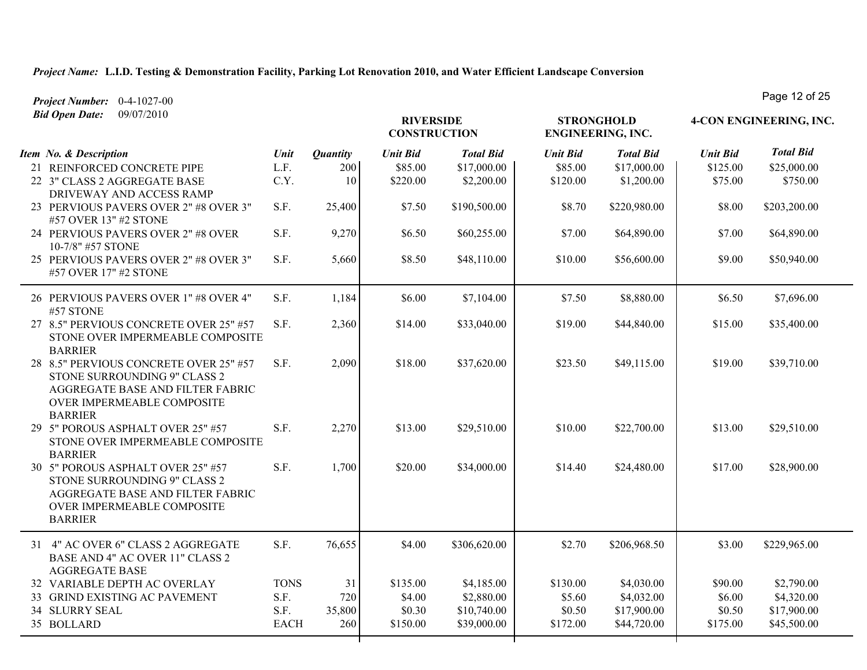| Project Number: 0-4-1027-00                                                                                                                                |             |                 |                                         |                  |                 |                                        |                 | Page 12 OF 20           |  |  |
|------------------------------------------------------------------------------------------------------------------------------------------------------------|-------------|-----------------|-----------------------------------------|------------------|-----------------|----------------------------------------|-----------------|-------------------------|--|--|
| 09/07/2010<br><b>Bid Open Date:</b>                                                                                                                        |             |                 | <b>RIVERSIDE</b><br><b>CONSTRUCTION</b> |                  |                 | <b>STRONGHOLD</b><br>ENGINEERING, INC. |                 | 4-CON ENGINEERING, INC. |  |  |
| Item No. & Description                                                                                                                                     | Unit        | <b>Quantity</b> | <b>Unit Bid</b>                         | <b>Total Bid</b> | <b>Unit Bid</b> | <b>Total Bid</b>                       | <b>Unit Bid</b> | <b>Total Bid</b>        |  |  |
| 21 REINFORCED CONCRETE PIPE                                                                                                                                | L.F.        | 200             | \$85.00                                 | \$17,000.00      | \$85.00         | \$17,000.00                            | \$125.00        | \$25,000.00             |  |  |
| 22 3" CLASS 2 AGGREGATE BASE<br>DRIVEWAY AND ACCESS RAMP                                                                                                   | C.Y.        | 10              | \$220.00                                | \$2,200.00       | \$120.00        | \$1,200.00                             | \$75.00         | \$750.00                |  |  |
| 23 PERVIOUS PAVERS OVER 2" #8 OVER 3"<br>#57 OVER 13" #2 STONE                                                                                             | S.F.        | 25,400          | \$7.50                                  | \$190,500.00     | \$8.70          | \$220,980.00                           | \$8.00          | \$203,200.00            |  |  |
| 24 PERVIOUS PAVERS OVER 2" #8 OVER<br>10-7/8" #57 STONE                                                                                                    | S.F.        | 9,270           | \$6.50                                  | \$60,255.00      | \$7.00          | \$64,890.00                            | \$7.00          | \$64,890.00             |  |  |
| 25 PERVIOUS PAVERS OVER 2" #8 OVER 3"<br>#57 OVER 17" #2 STONE                                                                                             | S.F.        | 5,660           | \$8.50                                  | \$48,110.00      | \$10.00         | \$56,600.00                            | \$9.00          | \$50,940.00             |  |  |
| 26 PERVIOUS PAVERS OVER 1" #8 OVER 4"<br>#57 STONE                                                                                                         | S.F.        | 1,184           | \$6.00                                  | \$7,104.00       | \$7.50          | \$8,880.00                             | \$6.50          | \$7,696.00              |  |  |
| 27 8.5" PERVIOUS CONCRETE OVER 25" #57<br>STONE OVER IMPERMEABLE COMPOSITE<br><b>BARRIER</b>                                                               | S.F.        | 2,360           | \$14.00                                 | \$33,040.00      | \$19.00         | \$44,840.00                            | \$15.00         | \$35,400.00             |  |  |
| 28 8.5" PERVIOUS CONCRETE OVER 25" #57<br>STONE SURROUNDING 9" CLASS 2<br>AGGREGATE BASE AND FILTER FABRIC<br>OVER IMPERMEABLE COMPOSITE<br><b>BARRIER</b> | S.F.        | 2,090           | \$18.00                                 | \$37,620.00      | \$23.50         | \$49,115.00                            | \$19.00         | \$39,710.00             |  |  |
| 29 5" POROUS ASPHALT OVER 25" #57<br>STONE OVER IMPERMEABLE COMPOSITE<br><b>BARRIER</b>                                                                    | S.F.        | 2,270           | \$13.00                                 | \$29,510.00      | \$10.00         | \$22,700.00                            | \$13.00         | \$29,510.00             |  |  |
| 30 5" POROUS ASPHALT OVER 25" #57<br>STONE SURROUNDING 9" CLASS 2<br>AGGREGATE BASE AND FILTER FABRIC<br>OVER IMPERMEABLE COMPOSITE<br><b>BARRIER</b>      | S.F.        | 1,700           | \$20.00                                 | \$34,000.00      | \$14.40         | \$24,480.00                            | \$17.00         | \$28,900.00             |  |  |
| 31 4" AC OVER 6" CLASS 2 AGGREGATE<br>BASE AND 4" AC OVER 11" CLASS 2<br><b>AGGREGATE BASE</b>                                                             | S.F.        | 76,655          | \$4.00                                  | \$306,620.00     | \$2.70          | \$206,968.50                           | \$3.00          | \$229,965.00            |  |  |
| 32 VARIABLE DEPTH AC OVERLAY                                                                                                                               | <b>TONS</b> | 31              | \$135.00                                | \$4,185.00       | \$130.00        | \$4,030.00                             | \$90.00         | \$2,790.00              |  |  |
| 33 GRIND EXISTING AC PAVEMENT                                                                                                                              | S.F.        | 720             | \$4.00                                  | \$2,880.00       | \$5.60          | \$4,032.00                             | \$6.00          | \$4,320.00              |  |  |
| <b>34 SLURRY SEAL</b>                                                                                                                                      | S.F.        | 35,800          | \$0.30                                  | \$10,740.00      | \$0.50          | \$17,900.00                            | \$0.50          | \$17,900.00             |  |  |
| 35 BOLLARD                                                                                                                                                 | <b>EACH</b> | 260             | \$150.00                                | \$39,000.00      | \$172.00        | \$44,720.00                            | \$175.00        | \$45,500.00             |  |  |

Page 12 of 25

┰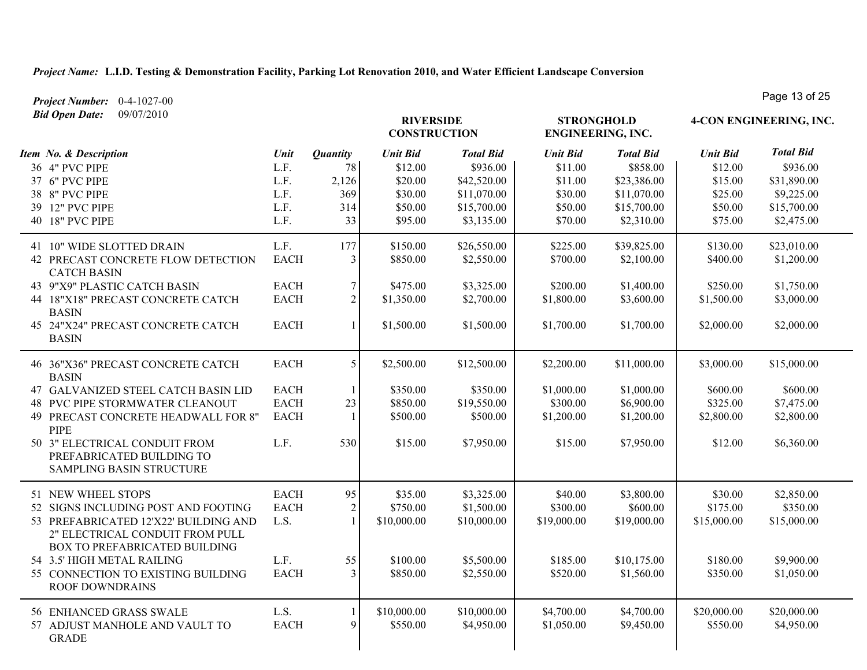*Project Number:* 0-4-1027-00

| <b>Bid Open Date:</b><br>09/07/2010                                                                       |                     |                 | <b>RIVERSIDE</b><br><b>CONSTRUCTION</b> |                           | <b>STRONGHOLD</b><br>ENGINEERING, INC. |                          |                         | 4-CON ENGINEERING, INC.   |
|-----------------------------------------------------------------------------------------------------------|---------------------|-----------------|-----------------------------------------|---------------------------|----------------------------------------|--------------------------|-------------------------|---------------------------|
| Item No. & Description                                                                                    | Unit                | <b>Quantity</b> | <b>Unit Bid</b>                         | <b>Total Bid</b>          | <b>Unit Bid</b>                        | <b>Total Bid</b>         | <b>Unit Bid</b>         | <b>Total Bid</b>          |
| 36 4" PVC PIPE                                                                                            | L.F.                | 78              | \$12.00                                 | \$936.00                  | \$11.00                                | \$858.00                 | \$12.00                 | \$936.00                  |
| 37 6" PVC PIPE                                                                                            | L.F.                | 2,126           | \$20.00                                 | \$42,520.00               | \$11.00                                | \$23,386.00              | \$15.00                 | \$31,890.00               |
| 38 8" PVC PIPE                                                                                            | L.F.                | 369             | \$30.00                                 | \$11,070.00               | \$30.00                                | \$11,070.00              | \$25.00                 | \$9,225.00                |
| 39 12" PVC PIPE                                                                                           | L.F.                | 314             | \$50.00                                 | \$15,700.00               | \$50.00                                | \$15,700.00              | \$50.00                 | \$15,700.00               |
| 40 18" PVC PIPE                                                                                           | L.F.                | 33              | \$95.00                                 | \$3,135.00                | \$70.00                                | \$2,310.00               | \$75.00                 | \$2,475.00                |
| 41 10" WIDE SLOTTED DRAIN                                                                                 | L.F.                | 177             | \$150.00                                | \$26,550.00               | \$225.00                               | \$39,825.00              | \$130.00                | \$23,010.00               |
| 42 PRECAST CONCRETE FLOW DETECTION<br><b>CATCH BASIN</b>                                                  | <b>EACH</b>         | $\overline{3}$  | \$850.00                                | \$2,550.00                | \$700.00                               | \$2,100.00               | \$400.00                | \$1,200.00                |
| 43 9"X9" PLASTIC CATCH BASIN                                                                              | <b>EACH</b>         | $\overline{7}$  | \$475.00                                | \$3,325.00                | \$200.00                               | \$1,400.00               | \$250.00                | \$1,750.00                |
| 44 18"X18" PRECAST CONCRETE CATCH<br><b>BASIN</b>                                                         | <b>EACH</b>         | $\overline{2}$  | \$1,350.00                              | \$2,700.00                | \$1,800.00                             | \$3,600.00               | \$1,500.00              | \$3,000.00                |
| 45 24"X24" PRECAST CONCRETE CATCH<br><b>BASIN</b>                                                         | <b>EACH</b>         |                 | \$1,500.00                              | \$1,500.00                | \$1,700.00                             | \$1,700.00               | \$2,000.00              | \$2,000.00                |
| 46 36"X36" PRECAST CONCRETE CATCH<br><b>BASIN</b>                                                         | <b>EACH</b>         | 5               | \$2,500.00                              | \$12,500.00               | \$2,200.00                             | \$11,000.00              | \$3,000.00              | \$15,000.00               |
| 47 GALVANIZED STEEL CATCH BASIN LID                                                                       | <b>EACH</b>         |                 | \$350.00                                | \$350.00                  | \$1,000.00                             | \$1,000.00               | \$600.00                | \$600.00                  |
| 48 PVC PIPE STORMWATER CLEANOUT                                                                           | <b>EACH</b>         | 23              | \$850.00                                | \$19,550.00               | \$300.00                               | \$6,900.00               | \$325.00                | \$7,475.00                |
| 49 PRECAST CONCRETE HEADWALL FOR 8"<br><b>PIPE</b>                                                        | <b>EACH</b>         |                 | \$500.00                                | \$500.00                  | \$1,200.00                             | \$1,200.00               | \$2,800.00              | \$2,800.00                |
| 50 3" ELECTRICAL CONDUIT FROM<br>PREFABRICATED BUILDING TO<br>SAMPLING BASIN STRUCTURE                    | L.F.                | 530             | \$15.00                                 | \$7,950.00                | \$15.00                                | \$7,950.00               | \$12.00                 | \$6,360.00                |
| 51 NEW WHEEL STOPS                                                                                        | <b>EACH</b>         | 95              | \$35.00                                 | \$3,325.00                | \$40.00                                | \$3,800.00               | \$30.00                 | \$2,850.00                |
| 52 SIGNS INCLUDING POST AND FOOTING                                                                       | <b>EACH</b>         | $\sqrt{2}$      | \$750.00                                | \$1,500.00                | \$300.00                               | \$600.00                 | \$175.00                | \$350.00                  |
| 53 PREFABRICATED 12'X22' BUILDING AND<br>2" ELECTRICAL CONDUIT FROM PULL<br>BOX TO PREFABRICATED BUILDING | L.S.                |                 | \$10,000.00                             | \$10,000.00               | \$19,000.00                            | \$19,000.00              | \$15,000.00             | \$15,000.00               |
| 54 3.5' HIGH METAL RAILING                                                                                | L.F.                | 55              | \$100.00                                | \$5,500.00                | \$185.00                               | \$10,175.00              | \$180.00                | \$9,900.00                |
| 55 CONNECTION TO EXISTING BUILDING<br><b>ROOF DOWNDRAINS</b>                                              | <b>EACH</b>         | $\overline{3}$  | \$850.00                                | \$2,550.00                | \$520.00                               | \$1,560.00               | \$350.00                | \$1,050.00                |
| 56 ENHANCED GRASS SWALE<br>57 ADJUST MANHOLE AND VAULT TO                                                 | L.S.<br><b>EACH</b> | 9               | \$10,000.00<br>\$550.00                 | \$10,000.00<br>\$4,950.00 | \$4,700.00<br>\$1,050.00               | \$4,700.00<br>\$9,450.00 | \$20,000.00<br>\$550.00 | \$20,000.00<br>\$4,950.00 |
| <b>GRADE</b>                                                                                              |                     |                 |                                         |                           |                                        |                          |                         |                           |

Page 13 of 25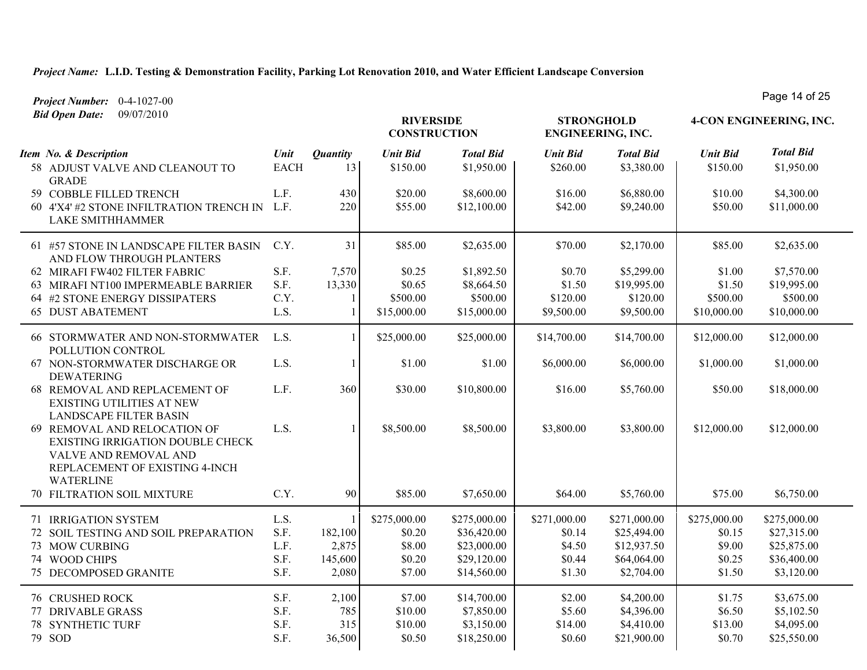*Bid Open Date:* 09/07/2010

*Project Number:* 0-4-1027-00 Page 14 of 25

| <b>Bia Open Date:</b> 09/07/2010                                                                                                                |             | <b>RIVERSIDE</b><br><b>CONSTRUCTION</b> |                 |                  |                 | <b>STRONGHOLD</b><br><b>ENGINEERING, INC.</b> | 4-CON ENGINEERING, INC. |                  |  |
|-------------------------------------------------------------------------------------------------------------------------------------------------|-------------|-----------------------------------------|-----------------|------------------|-----------------|-----------------------------------------------|-------------------------|------------------|--|
| Item No. & Description                                                                                                                          | Unit        | <b>Quantity</b>                         | <b>Unit Bid</b> | <b>Total Bid</b> | <b>Unit Bid</b> | <b>Total Bid</b>                              | <b>Unit Bid</b>         | <b>Total Bid</b> |  |
| 58 ADJUST VALVE AND CLEANOUT TO<br><b>GRADE</b>                                                                                                 | <b>EACH</b> | 13                                      | \$150.00        | \$1,950.00       | \$260.00        | \$3,380.00                                    | \$150.00                | \$1,950.00       |  |
| 59 COBBLE FILLED TRENCH                                                                                                                         | L.F.        | 430                                     | \$20.00         | \$8,600.00       | \$16.00         | \$6,880.00                                    | \$10.00                 | \$4,300.00       |  |
| 60 4'X4' #2 STONE INFILTRATION TRENCH IN L.F.<br><b>LAKE SMITHHAMMER</b>                                                                        |             | 220                                     | \$55.00         | \$12,100.00      | \$42.00         | \$9,240.00                                    | \$50.00                 | \$11,000.00      |  |
| 61 #57 STONE IN LANDSCAPE FILTER BASIN<br>AND FLOW THROUGH PLANTERS                                                                             | C.Y.        | 31                                      | \$85.00         | \$2,635.00       | \$70.00         | \$2,170.00                                    | \$85.00                 | \$2,635.00       |  |
| 62 MIRAFI FW402 FILTER FABRIC                                                                                                                   | S.F.        | 7,570                                   | \$0.25          | \$1,892.50       | \$0.70          | \$5,299.00                                    | \$1.00                  | \$7,570.00       |  |
| 63 MIRAFI NT100 IMPERMEABLE BARRIER                                                                                                             | S.F.        | 13,330                                  | \$0.65          | \$8,664.50       | \$1.50          | \$19,995.00                                   | \$1.50                  | \$19,995.00      |  |
| 64 #2 STONE ENERGY DISSIPATERS                                                                                                                  | C.Y.        |                                         | \$500.00        | \$500.00         | \$120.00        | \$120.00                                      | \$500.00                | \$500.00         |  |
| <b>65 DUST ABATEMENT</b>                                                                                                                        | L.S.        |                                         | \$15,000.00     | \$15,000.00      | \$9,500.00      | \$9,500.00                                    | \$10,000.00             | \$10,000.00      |  |
| 66 STORMWATER AND NON-STORMWATER<br>POLLUTION CONTROL                                                                                           | L.S.        |                                         | \$25,000.00     | \$25,000.00      | \$14,700.00     | \$14,700.00                                   | \$12,000.00             | \$12,000.00      |  |
| 67 NON-STORMWATER DISCHARGE OR<br><b>DEWATERING</b>                                                                                             | L.S.        | $\mathbf{1}$                            | \$1.00          | \$1.00           | \$6,000.00      | \$6,000.00                                    | \$1,000.00              | \$1,000.00       |  |
| 68 REMOVAL AND REPLACEMENT OF<br><b>EXISTING UTILITIES AT NEW</b><br>LANDSCAPE FILTER BASIN                                                     | L.F.        | 360                                     | \$30.00         | \$10,800.00      | \$16.00         | \$5,760.00                                    | \$50.00                 | \$18,000.00      |  |
| 69 REMOVAL AND RELOCATION OF<br>EXISTING IRRIGATION DOUBLE CHECK<br>VALVE AND REMOVAL AND<br>REPLACEMENT OF EXISTING 4-INCH<br><b>WATERLINE</b> | L.S.        |                                         | \$8,500.00      | \$8,500.00       | \$3,800.00      | \$3,800.00                                    | \$12,000.00             | \$12,000.00      |  |
| 70 FILTRATION SOIL MIXTURE                                                                                                                      | C.Y.        | 90                                      | \$85.00         | \$7,650.00       | \$64.00         | \$5,760.00                                    | \$75.00                 | \$6,750.00       |  |
| 71 IRRIGATION SYSTEM                                                                                                                            | L.S.        |                                         | \$275,000.00    | \$275,000.00     | \$271,000.00    | \$271,000.00                                  | \$275,000.00            | \$275,000.00     |  |
| 72 SOIL TESTING AND SOIL PREPARATION                                                                                                            | S.F.        | 182,100                                 | \$0.20          | \$36,420.00      | \$0.14          | \$25,494.00                                   | \$0.15                  | \$27,315.00      |  |
| 73 MOW CURBING                                                                                                                                  | L.F.        | 2,875                                   | \$8.00          | \$23,000.00      | \$4.50          | \$12,937.50                                   | \$9.00                  | \$25,875.00      |  |
| 74 WOOD CHIPS                                                                                                                                   | S.F.        | 145,600                                 | \$0.20          | \$29,120.00      | \$0.44          | \$64,064.00                                   | \$0.25                  | \$36,400.00      |  |
| 75 DECOMPOSED GRANITE                                                                                                                           | S.F.        | 2,080                                   | \$7.00          | \$14,560.00      | \$1.30          | \$2,704.00                                    | \$1.50                  | \$3,120.00       |  |
| <b>76 CRUSHED ROCK</b>                                                                                                                          | S.F.        | 2,100                                   | \$7.00          | \$14,700.00      | \$2.00          | \$4,200.00                                    | \$1.75                  | \$3,675.00       |  |
| 77 DRIVABLE GRASS                                                                                                                               | S.F.        | 785                                     | \$10.00         | \$7,850.00       | \$5.60          | \$4,396.00                                    | \$6.50                  | \$5,102.50       |  |
| <b>78 SYNTHETIC TURF</b>                                                                                                                        | S.F.        | 315                                     | \$10.00         | \$3,150.00       | \$14.00         | \$4,410.00                                    | \$13.00                 | \$4,095.00       |  |
| 79 SOD                                                                                                                                          | S.F.        | 36,500                                  | \$0.50          | \$18,250.00      | \$0.60          | \$21,900.00                                   | \$0.70                  | \$25,550.00      |  |
|                                                                                                                                                 |             |                                         |                 |                  |                 |                                               |                         |                  |  |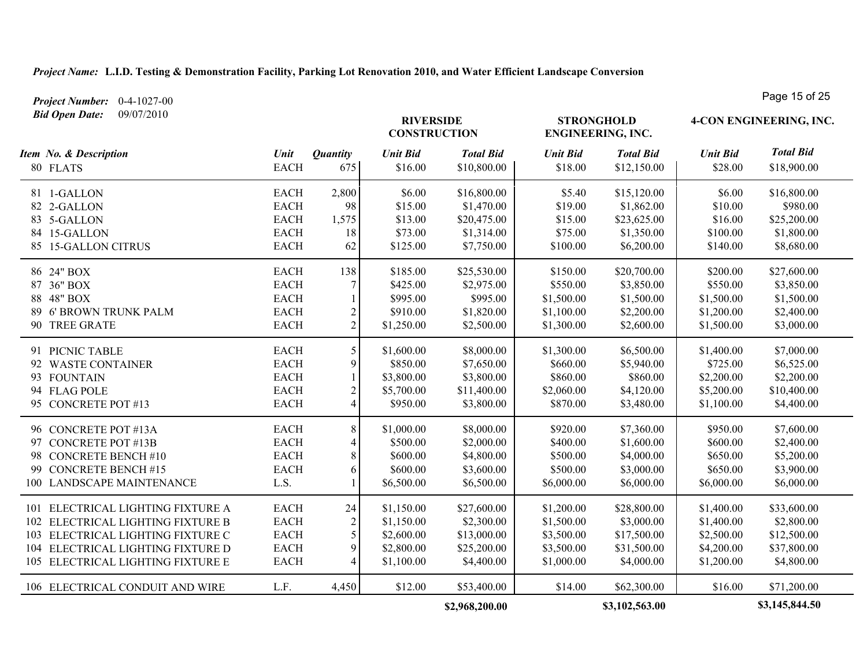*Project Number:* 0-4-1027-00

| <b>Bid Open Date:</b><br>09/07/2010                                                                                                                                                   |                                                                         |                                                  | <b>RIVERSIDE</b><br><b>CONSTRUCTION</b>                            |                                                                       | <b>STRONGHOLD</b><br><b>ENGINEERING, INC.</b>                      |                                                                       | 4-CON ENGINEERING, INC.                                            |                                                                       |
|---------------------------------------------------------------------------------------------------------------------------------------------------------------------------------------|-------------------------------------------------------------------------|--------------------------------------------------|--------------------------------------------------------------------|-----------------------------------------------------------------------|--------------------------------------------------------------------|-----------------------------------------------------------------------|--------------------------------------------------------------------|-----------------------------------------------------------------------|
| Item No. & Description<br>80 FLATS                                                                                                                                                    | Unit<br><b>EACH</b>                                                     | <i><b>Quantity</b></i><br>675                    | <b>Unit Bid</b><br>\$16.00                                         | <b>Total Bid</b><br>\$10,800.00                                       | <b>Unit Bid</b><br>\$18.00                                         | <b>Total Bid</b><br>\$12,150.00                                       | <b>Unit Bid</b><br>\$28.00                                         | <b>Total Bid</b><br>\$18,900.00                                       |
| 81 1-GALLON<br>82 2-GALLON<br>83 5-GALLON<br>84 15-GALLON<br>85 15-GALLON CITRUS                                                                                                      | <b>EACH</b><br><b>EACH</b><br><b>EACH</b><br><b>EACH</b><br><b>EACH</b> | 2,800<br>98<br>1,575<br>18<br>62                 | \$6.00<br>\$15.00<br>\$13.00<br>\$73.00<br>\$125.00                | \$16,800.00<br>\$1,470.00<br>\$20,475.00<br>\$1,314.00<br>\$7,750.00  | \$5.40<br>\$19.00<br>\$15.00<br>\$75.00<br>\$100.00                | \$15,120.00<br>\$1,862.00<br>\$23,625.00<br>\$1,350.00<br>\$6,200.00  | \$6.00<br>\$10.00<br>\$16.00<br>\$100.00<br>\$140.00               | \$16,800.00<br>\$980.00<br>\$25,200.00<br>\$1,800.00<br>\$8,680.00    |
| 86 24" BOX<br>87 36" BOX<br>88 48" BOX<br>89 6' BROWN TRUNK PALM<br>90 TREE GRATE                                                                                                     | <b>EACH</b><br><b>EACH</b><br><b>EACH</b><br><b>EACH</b><br><b>EACH</b> | 138<br>7<br>$\overline{c}$<br>$\overline{2}$     | \$185.00<br>\$425.00<br>\$995.00<br>\$910.00<br>\$1,250.00         | \$25,530.00<br>\$2,975.00<br>\$995.00<br>\$1,820.00<br>\$2,500.00     | \$150.00<br>\$550.00<br>\$1,500.00<br>\$1,100.00<br>\$1,300.00     | \$20,700.00<br>\$3,850.00<br>\$1,500.00<br>\$2,200.00<br>\$2,600.00   | \$200.00<br>\$550.00<br>\$1,500.00<br>\$1,200.00<br>\$1,500.00     | \$27,600.00<br>\$3,850.00<br>\$1,500.00<br>\$2,400.00<br>\$3,000.00   |
| 91 PICNIC TABLE<br>92 WASTE CONTAINER<br>93 FOUNTAIN<br>94 FLAG POLE<br>95 CONCRETE POT #13                                                                                           | <b>EACH</b><br><b>EACH</b><br><b>EACH</b><br><b>EACH</b><br><b>EACH</b> | 5<br>9<br>$\overline{c}$<br>$\overline{4}$       | \$1,600.00<br>\$850.00<br>\$3,800.00<br>\$5,700.00<br>\$950.00     | \$8,000.00<br>\$7,650.00<br>\$3,800.00<br>\$11,400.00<br>\$3,800.00   | \$1,300.00<br>\$660.00<br>\$860.00<br>\$2,060.00<br>\$870.00       | \$6,500.00<br>\$5,940.00<br>\$860.00<br>\$4,120.00<br>\$3,480.00      | \$1,400.00<br>\$725.00<br>\$2,200.00<br>\$5,200.00<br>\$1,100.00   | \$7,000.00<br>\$6,525.00<br>\$2,200.00<br>\$10,400.00<br>\$4,400.00   |
| 96 CONCRETE POT #13A<br>97 CONCRETE POT #13B<br>98 CONCRETE BENCH #10<br>99 CONCRETE BENCH #15<br>100 LANDSCAPE MAINTENANCE                                                           | <b>EACH</b><br><b>EACH</b><br><b>EACH</b><br><b>EACH</b><br>L.S.        | 8<br>$\overline{\mathcal{A}}$<br>8<br>6          | \$1,000.00<br>\$500.00<br>\$600.00<br>\$600.00<br>\$6,500.00       | \$8,000.00<br>\$2,000.00<br>\$4,800.00<br>\$3,600.00<br>\$6,500.00    | \$920.00<br>\$400.00<br>\$500.00<br>\$500.00<br>\$6,000.00         | \$7,360.00<br>\$1,600.00<br>\$4,000.00<br>\$3,000.00<br>\$6,000.00    | \$950.00<br>\$600.00<br>\$650.00<br>\$650.00<br>\$6,000.00         | \$7,600.00<br>\$2,400.00<br>\$5,200.00<br>\$3,900.00<br>\$6,000.00    |
| 101 ELECTRICAL LIGHTING FIXTURE A<br>102 ELECTRICAL LIGHTING FIXTURE B<br>103 ELECTRICAL LIGHTING FIXTURE C<br>104 ELECTRICAL LIGHTING FIXTURE D<br>105 ELECTRICAL LIGHTING FIXTURE E | <b>EACH</b><br><b>EACH</b><br><b>EACH</b><br><b>EACH</b><br><b>EACH</b> | 24<br>$\overline{2}$<br>5<br>9<br>$\overline{4}$ | \$1,150.00<br>\$1,150.00<br>\$2,600.00<br>\$2,800.00<br>\$1,100.00 | \$27,600.00<br>\$2,300.00<br>\$13,000.00<br>\$25,200.00<br>\$4,400.00 | \$1,200.00<br>\$1,500.00<br>\$3,500.00<br>\$3,500.00<br>\$1,000.00 | \$28,800.00<br>\$3,000.00<br>\$17,500.00<br>\$31,500.00<br>\$4,000.00 | \$1,400.00<br>\$1,400.00<br>\$2,500.00<br>\$4,200.00<br>\$1,200.00 | \$33,600.00<br>\$2,800.00<br>\$12,500.00<br>\$37,800.00<br>\$4,800.00 |
| 106 ELECTRICAL CONDUIT AND WIRE                                                                                                                                                       | L.F.                                                                    | 4,450                                            | \$12.00                                                            | \$53,400.00                                                           | \$14.00                                                            | \$62,300.00                                                           | \$16.00                                                            | \$71,200.00                                                           |

**\$2,968,200.00 \$3,102,563.00 \$3,145,844.50**

Page 15 of 25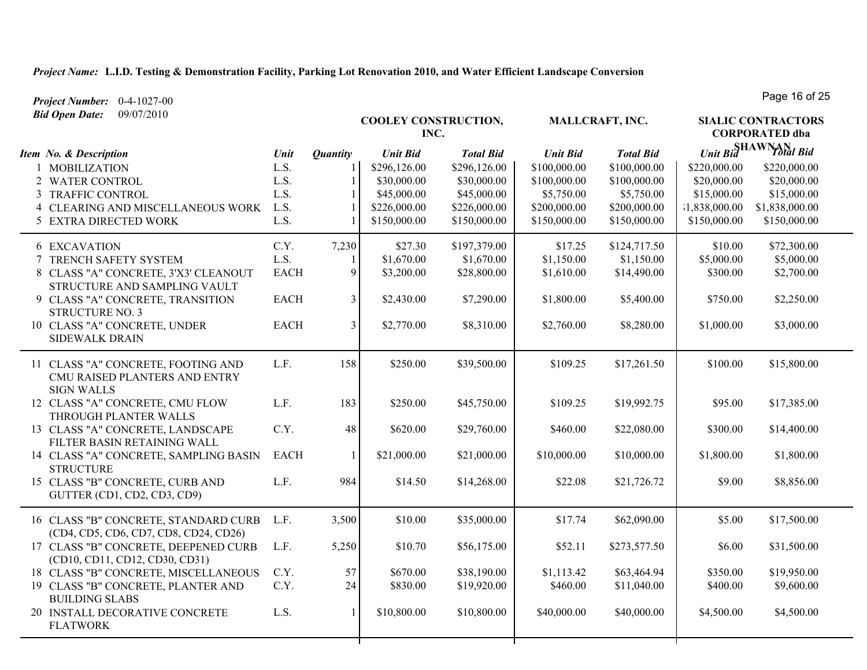*Project Number:* 0-4-1027-00 *Bid Open Date:* 09/07/2010

**COOLEY CONSTRUCTION, INC.** *Unit Bid Total Bid* **SHAWNAN SIALIC CONTRACTORS CORPORATED dba MALLCRAFT, INC.** *Item No. & Description Unit Unit Bid Total Bid Unit Bid Total Bid Quantity* 1 MOBILIZATION L.S. 1 \$296,126.00 \$296,126.00 \$100,000.00 \$100,000.00 \$220,000.00 \$220,000.00 2 WATER CONTROL 2 L.S. 1 \$30,000.00 \$30,000.00 \$100,000.00 \$100,000.00 \$20,000.00 \$20,000.00 3 TRAFFIC CONTROL L.S. 1 \$45,000.00 \$45,000.00 \$5,750.00 \$5,750.00 \$15,000.00 \$15,000.00 4 CLEARING AND MISCELLANEOUS WORK L.S. 1 \$226,000.00 \$226,000.00 \$200,000.00 \$200,000.00 \$1,838,000.00 \$1,838,000.00 5 EXTRA DIRECTED WORK L.S. 1 \$150,000.00 \$150,000.00 \$150,000.00 \$150,000.00 \$150,000.00 \$150,000.00 6 EXCAVATION C.Y. 7,230 \$27.30 \$197,379.00 \$17.25 \$124,717.50 \$10.00 \$72,300.00 7 TRENCH SAFETY SYSTEM L.S. 1 \$1,670.00 \$1,670.00 \$1,150.00 \$1,150.00 \$5,000.00 \$5,000.00 8 CLASS "A" CONCRETE, 3'X3' CLEANOUT STRUCTURE AND SAMPLING VAULT EACH 9 \$3,200.00 \$28,800.00 \$1,610.00 \$14,490.00 \$300.00 \$2,700.00 9 CLASS "A" CONCRETE, TRANSITION STRUCTURE NO. 3 EACH 3 \$2,430.00 \$7,290.00 \$1,800.00 \$5,400.00 \$750.00 \$2,250.00 10 CLASS "A" CONCRETE, UNDER SIDEWALK DRAIN EACH 3 \$2,770.00 \$8,310.00 \$2,760.00 \$8,280.00 \$1,000.00 \$3,000.00 11 CLASS "A" CONCRETE, FOOTING AND CMU RAISED PLANTERS AND ENTRY SIGN WALLS L.F. 158 \$250.00 \$39,500.00 \$109.25 \$17,261.50 \$100.00 \$15,800.00 12 CLASS "A" CONCRETE, CMU FLOW THROUGH PLANTER WALLS L.F. 183 \$250.00 \$45,750.00 \$109.25 \$19,992.75 \$95.00 \$17,385.00 13 CLASS "A" CONCRETE, LANDSCAPE FILTER BASIN RETAINING WALL C.Y. 48 \$620.00 \$29,760.00 \$460.00 \$22,080.00 \$300.00 \$14,400.00 14 CLASS "A" CONCRETE, SAMPLING BASIN **STRUCTURE** EACH 1 \$21,000.00 \$21,000.00 \$10,000.00 \$10,000.00 \$1,800.00 \$1,800.00 15 CLASS "B" CONCRETE, CURB AND GUTTER (CD1, CD2, CD3, CD9) L.F. 984 \$14.50 \$14,268.00 \$22.08 \$21,726.72 \$9.00 \$8,856.00 16 CLASS "B" CONCRETE, STANDARD CURB (CD4, CD5, CD6, CD7, CD8, CD24, CD26) L.F. 3,500 \$10.00 \$35,000.00 \$17.74 \$62,090.00 \$5.00 \$17,500.00 17 CLASS "B" CONCRETE, DEEPENED CURB (CD10, CD11, CD12, CD30, CD31) L.F. 5,250 \$10.70 \$56,175.00 \$52.11 \$273,577.50 \$6.00 \$31,500.00 18 CLASS "B" CONCRETE, MISCELLANEOUS C.Y. 57 \$670.00 \$38,190.00 \$1,113.42 \$63,464.94 \$350.00 \$19,950.00 19 CLASS "B" CONCRETE, PLANTER AND BUILDING SLABS C.Y. 24 \$830.00 \$19,920.00 \$460.00 \$11,040.00 \$400.00 \$9,600.00 20 INSTALL DECORATIVE CONCRETE FLATWORK L.S. 1 \$10,800.00 \$10,800.00 \$40,000.00 \$40,000.00 \$4,500.00 \$4,500.00

Page 16 of 25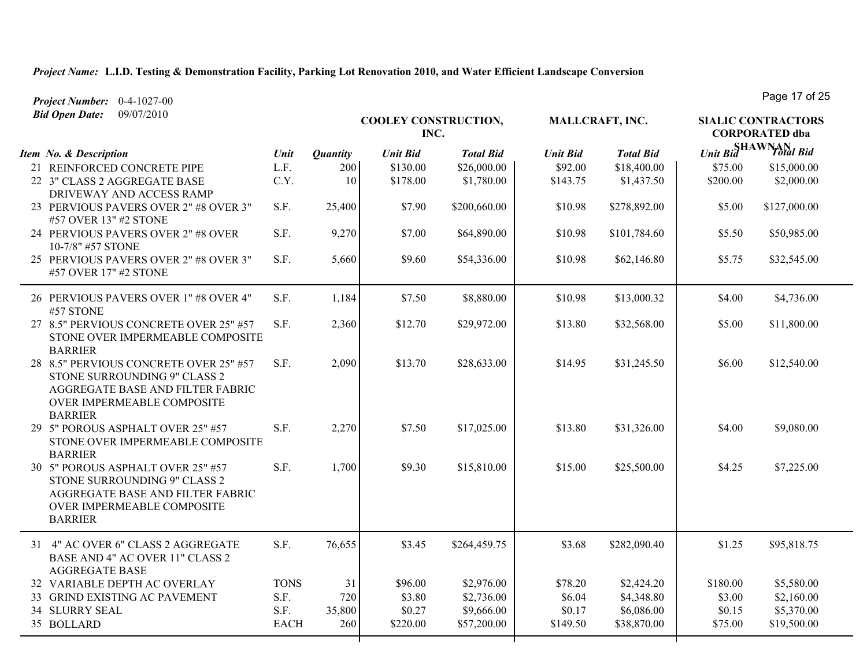| Project Number: 0-4-1027-00                                                                                                                                |             |                 |                                     |                  |                 |                  |          | Page 17 OI 20                                      |
|------------------------------------------------------------------------------------------------------------------------------------------------------------|-------------|-----------------|-------------------------------------|------------------|-----------------|------------------|----------|----------------------------------------------------|
| 09/07/2010<br><b>Bid Open Date:</b>                                                                                                                        |             |                 | <b>COOLEY CONSTRUCTION,</b><br>INC. |                  |                 | MALLCRAFT, INC.  |          | <b>SIALIC CONTRACTORS</b><br><b>CORPORATED</b> dba |
| Item No. & Description                                                                                                                                     | Unit        | <b>Quantity</b> | <b>Unit Bid</b>                     | <b>Total Bid</b> | <b>Unit Bid</b> | <b>Total Bid</b> |          | Unit Bid<br>Total Bid                              |
| 21 REINFORCED CONCRETE PIPE                                                                                                                                | L.F.        | 200             | \$130.00                            | \$26,000.00      | \$92.00         | \$18,400.00      | \$75.00  | \$15,000.00                                        |
| 22 3" CLASS 2 AGGREGATE BASE<br>DRIVEWAY AND ACCESS RAMP                                                                                                   | C.Y.        | 10              | \$178.00                            | \$1,780.00       | \$143.75        | \$1,437.50       | \$200.00 | \$2,000.00                                         |
| 23 PERVIOUS PAVERS OVER 2" #8 OVER 3"<br>#57 OVER 13" #2 STONE                                                                                             | S.F.        | 25,400          | \$7.90                              | \$200,660.00     | \$10.98         | \$278,892.00     | \$5.00   | \$127,000.00                                       |
| 24 PERVIOUS PAVERS OVER 2" #8 OVER<br>10-7/8" #57 STONE                                                                                                    | S.F.        | 9,270           | \$7.00                              | \$64,890.00      | \$10.98         | \$101,784.60     | \$5.50   | \$50,985.00                                        |
| 25 PERVIOUS PAVERS OVER 2" #8 OVER 3"<br>#57 OVER 17" #2 STONE                                                                                             | S.F.        | 5,660           | \$9.60                              | \$54,336.00      | \$10.98         | \$62,146.80      | \$5.75   | \$32,545.00                                        |
| 26 PERVIOUS PAVERS OVER 1" #8 OVER 4"<br>#57 STONE                                                                                                         | S.F.        | 1,184           | \$7.50                              | \$8,880.00       | \$10.98         | \$13,000.32      | \$4.00   | \$4,736.00                                         |
| 27 8.5" PERVIOUS CONCRETE OVER 25" #57<br>STONE OVER IMPERMEABLE COMPOSITE<br><b>BARRIER</b>                                                               | S.F.        | 2,360           | \$12.70                             | \$29,972.00      | \$13.80         | \$32,568.00      | \$5.00   | \$11,800.00                                        |
| 28 8.5" PERVIOUS CONCRETE OVER 25" #57<br>STONE SURROUNDING 9" CLASS 2<br>AGGREGATE BASE AND FILTER FABRIC<br>OVER IMPERMEABLE COMPOSITE<br><b>BARRIER</b> | S.F.        | 2,090           | \$13.70                             | \$28,633.00      | \$14.95         | \$31,245.50      | \$6.00   | \$12,540.00                                        |
| 29 5" POROUS ASPHALT OVER 25" #57<br>STONE OVER IMPERMEABLE COMPOSITE<br><b>BARRIER</b>                                                                    | S.F.        | 2,270           | \$7.50                              | \$17,025.00      | \$13.80         | \$31,326.00      | \$4.00   | \$9,080.00                                         |
| 30 5" POROUS ASPHALT OVER 25" #57<br>STONE SURROUNDING 9" CLASS 2<br>AGGREGATE BASE AND FILTER FABRIC<br>OVER IMPERMEABLE COMPOSITE<br><b>BARRIER</b>      | S.F.        | 1,700           | \$9.30                              | \$15,810.00      | \$15.00         | \$25,500.00      | \$4.25   | \$7,225.00                                         |
| 31 4" AC OVER 6" CLASS 2 AGGREGATE<br>BASE AND 4" AC OVER 11" CLASS 2<br><b>AGGREGATE BASE</b>                                                             | S.F.        | 76,655          | \$3.45                              | \$264,459.75     | \$3.68          | \$282,090.40     | \$1.25   | \$95,818.75                                        |
| 32 VARIABLE DEPTH AC OVERLAY                                                                                                                               | <b>TONS</b> | 31              | \$96.00                             | \$2,976.00       | \$78.20         | \$2,424.20       | \$180.00 | \$5,580.00                                         |
| 33 GRIND EXISTING AC PAVEMENT                                                                                                                              | S.F.        | 720             | \$3.80                              | \$2,736.00       | \$6.04          | \$4,348.80       | \$3.00   | \$2,160.00                                         |
| <b>34 SLURRY SEAL</b>                                                                                                                                      | S.F.        | 35,800          | \$0.27                              | \$9,666.00       | \$0.17          | \$6,086.00       | \$0.15   | \$5,370.00                                         |
| 35 BOLLARD                                                                                                                                                 | <b>EACH</b> | 260             | \$220.00                            | \$57,200.00      | \$149.50        | \$38,870.00      | \$75.00  | \$19,500.00                                        |

Page 17 of 25

┰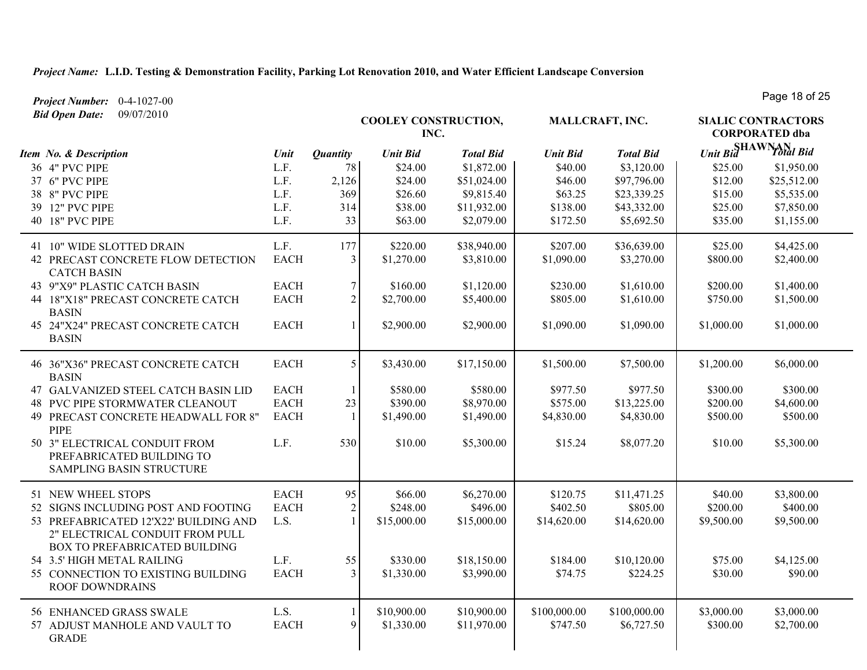*Project Number:* 0-4-1027-00

**COOLEY CONSTRUCTION, INC.** *Unit Bid Total Bid* **SHAWNAN SIALIC CONTRACTORS CORPORATED dba MALLCRAFT, INC.** *Item No. & Description Unit Unit Bid Total Bid Unit Bid Total Bid Bid Open Date:* 09/07/2010 *Quantity* 36 4" PVC PIPE 2010 L.F. 78 \$24.00 \$1,872.00 \$40.00 \$3,120.00 \$25.00 \$1,950.00 37 6" PVC PIPE L.F. 2,126 \$24.00 \$51,024.00 \$46.00 \$97,796.00 \$12.00 \$25,512.00 38 8" PVC PIPE 2000 L.F. 369 \$26.60 \$9,815.40 \$63.25 \$23,339.25 \$15.00 \$5,535.00 39 12" PVC PIPE 2010 L.F. 314 \$38.00 \$11,932.00 \$138.00 \$43,332.00 \$25.00 \$7,850.00 40 18" PVC PIPE L.F. 233 \$63.00 \$2,079.00 \$172.50 \$5,692.50 \$35.00 \$1,155.00 41 10" WIDE SLOTTED DRAIN L.F. 177 \$220.00 \$38,940.00 \$38,000 \$36,639.00 \$25.00 \$4,425.00 42 PRECAST CONCRETE FLOW DETECTION CATCH BASIN EACH 3 \$1,270.00 \$3,810.00 \$1,090.00 \$3,270.00 \$800.00 \$2,400.00 43 9"X9" PLASTIC CATCH BASIN EACH 7 | \$160.00 \$1,120.00 | \$230.00 \$1,610.00 | \$200.00 \$1,400.00 44 18"X18" PRECAST CONCRETE CATCH BASIN EACH 2 \$2,700.00 \$5,400.00 \$805.00 \$1,610.00 \$750.00 \$1,500.00 45 24"X24" PRECAST CONCRETE CATCH BASIN EACH 1 \$2,900.00 \$2,900.00 \$1,090.00 \$1,090.00 \$1,000.00 \$1,000.00 46 36"X36" PRECAST CONCRETE CATCH BASIN EACH 5 53,430.00 \$17,150.00 \$1,500.00 \$7,500.00 \$1,200.00 \$6,000.00 47 GALVANIZED STEEL CATCH BASIN LID EACH 1 \$580.00 \$580.00 \$977.50 \$977.50 \$300.00 \$300.00 48 PVC PIPE STORMWATER CLEANOUT EACH 23 \$390.00 \$8,970.00 \$575.00 \$13,225.00 \$200.00 \$4,600.00 49 PRECAST CONCRETE HEADWALL FOR 8" PIPE EACH 1 \$1,490.00 \$1,490.00 \$4,830.00 \$4,830.00 \$500.00 \$500.00 50 3" ELECTRICAL CONDUIT FROM PREFABRICATED BUILDING TO SAMPLING BASIN STRUCTURE L.F. 530 \$10.00 \$5,300.00 \$15.24 \$8,077.20 \$10.00 \$5,300.00 51 NEW WHEEL STOPS 6.800.00 **EACH** 95 **\$66.00** \$66.270.00 **\$120.75** \$11,471.25 \$40.00 \$3.800.00 52 SIGNS INCLUDING POST AND FOOTING EACH 2 \$248.00 \$496.00 \$402.50 \$805.00 \$200.00 \$400.00 53 PREFABRICATED 12'X22' BUILDING AND 2" ELECTRICAL CONDUIT FROM PULL BOX TO PREFABRICATED BUILDING L.S. 1 \$15,000.00 \$15,000.00 \$14,620.00 \$14,620.00 \$9,500.00 \$9,500.00 54 3.5' HIGH METAL RAILING L.F. 55 \$330.00 \$18,150.00 \$184.00 \$10,120.00 \$75.00 \$4,125.00 55 CONNECTION TO EXISTING BUILDING ROOF DOWNDRAINS EACH 3 \$1,330.00 \$3,990.00 \$74.75 \$224.25 \$30.00 \$90.00 56 ENHANCED GRASS SWALE L.S. 1 \$10,900.00 \$10,900.00 \$100,000.00 \$100,000.00 \$3,000.00 \$3,000.00 57 ADJUST MANHOLE AND VAULT TO GRADE EACH 9 \$1,330.00 \$11,970.00 \$747.50 \$6,727.50 \$300.00 \$2,700.00

Page 18 of 25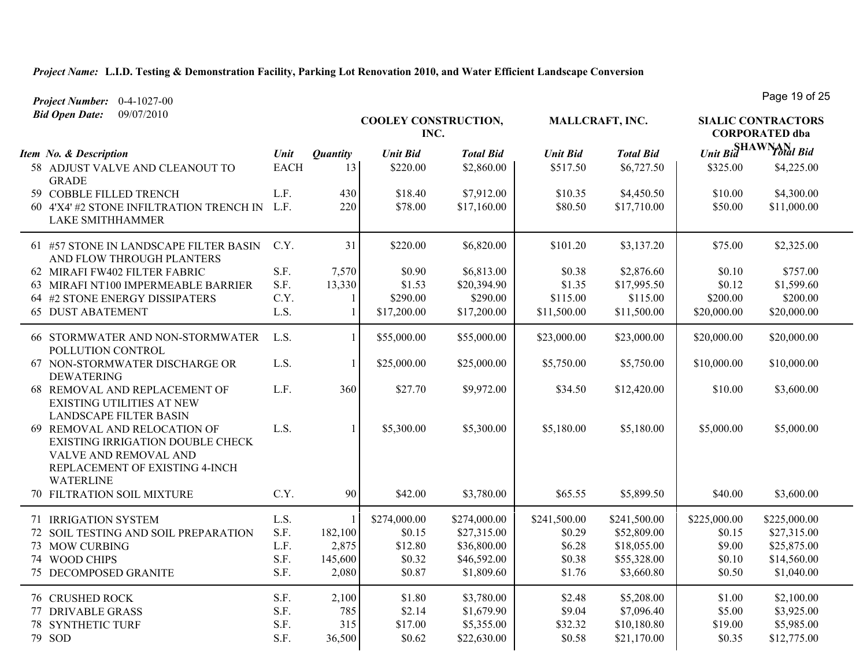| Project Number: 0-4-1027-00                                                                                                                     |             |                 |                              |                  |                 |                  |                                                    | Laye 19 OI 50                   |
|-------------------------------------------------------------------------------------------------------------------------------------------------|-------------|-----------------|------------------------------|------------------|-----------------|------------------|----------------------------------------------------|---------------------------------|
| <b>Bid Open Date:</b><br>09/07/2010                                                                                                             |             |                 | COOLEY CONSTRUCTION,<br>INC. |                  | MALLCRAFT, INC. |                  | <b>SIALIC CONTRACTORS</b><br><b>CORPORATED dba</b> |                                 |
| Item No. & Description                                                                                                                          | Unit        | <b>Quantity</b> | <b>Unit Bid</b>              | <b>Total Bid</b> | <b>Unit Bid</b> | <b>Total Bid</b> |                                                    | Unit Bid <sup>SHAWNAN</sup> Bid |
| 58 ADJUST VALVE AND CLEANOUT TO<br><b>GRADE</b>                                                                                                 | <b>EACH</b> | 13              | \$220.00                     | \$2,860.00       | \$517.50        | \$6,727.50       | \$325.00                                           | \$4,225.00                      |
| 59 COBBLE FILLED TRENCH                                                                                                                         | L.F.        | 430             | \$18.40                      | \$7,912.00       | \$10.35         | \$4,450.50       | \$10.00                                            | \$4,300.00                      |
| 60 4'X4' #2 STONE INFILTRATION TRENCH IN<br><b>LAKE SMITHHAMMER</b>                                                                             | L.F.        | 220             | \$78.00                      | \$17,160.00      | \$80.50         | \$17,710.00      | \$50.00                                            | \$11,000.00                     |
| 61 #57 STONE IN LANDSCAPE FILTER BASIN<br>AND FLOW THROUGH PLANTERS                                                                             | C.Y.        | 31              | \$220.00                     | \$6,820.00       | \$101.20        | \$3,137.20       | \$75.00                                            | \$2,325.00                      |
| 62 MIRAFI FW402 FILTER FABRIC                                                                                                                   | S.F.        | 7,570           | \$0.90                       | \$6,813.00       | \$0.38          | \$2,876.60       | \$0.10                                             | \$757.00                        |
| 63 MIRAFI NT100 IMPERMEABLE BARRIER                                                                                                             | S.F.        | 13,330          | \$1.53                       | \$20,394.90      | \$1.35          | \$17,995.50      | \$0.12                                             | \$1,599.60                      |
| 64 #2 STONE ENERGY DISSIPATERS                                                                                                                  | C.Y.        |                 | \$290.00                     | \$290.00         | \$115.00        | \$115.00         | \$200.00                                           | \$200.00                        |
| <b>65 DUST ABATEMENT</b>                                                                                                                        | L.S.        |                 | \$17,200.00                  | \$17,200.00      | \$11,500.00     | \$11,500.00      | \$20,000.00                                        | \$20,000.00                     |
| 66 STORMWATER AND NON-STORMWATER<br>POLLUTION CONTROL                                                                                           | L.S.        |                 | \$55,000.00                  | \$55,000.00      | \$23,000.00     | \$23,000.00      | \$20,000.00                                        | \$20,000.00                     |
| 67 NON-STORMWATER DISCHARGE OR<br><b>DEWATERING</b>                                                                                             | L.S.        |                 | \$25,000.00                  | \$25,000.00      | \$5,750.00      | \$5,750.00       | \$10,000.00                                        | \$10,000.00                     |
| 68 REMOVAL AND REPLACEMENT OF<br><b>EXISTING UTILITIES AT NEW</b><br><b>LANDSCAPE FILTER BASIN</b>                                              | L.F.        | 360             | \$27.70                      | \$9,972.00       | \$34.50         | \$12,420.00      | \$10.00                                            | \$3,600.00                      |
| 69 REMOVAL AND RELOCATION OF<br>EXISTING IRRIGATION DOUBLE CHECK<br>VALVE AND REMOVAL AND<br>REPLACEMENT OF EXISTING 4-INCH<br><b>WATERLINE</b> | L.S.        |                 | \$5,300.00                   | \$5,300.00       | \$5,180.00      | \$5,180.00       | \$5,000.00                                         | \$5,000.00                      |
| 70 FILTRATION SOIL MIXTURE                                                                                                                      | C.Y.        | 90              | \$42.00                      | \$3,780.00       | \$65.55         | \$5,899.50       | \$40.00                                            | \$3,600.00                      |
| 71 IRRIGATION SYSTEM                                                                                                                            | L.S.        |                 | \$274,000.00                 | \$274,000.00     | \$241,500.00    | \$241,500.00     | \$225,000.00                                       | \$225,000.00                    |
| 72 SOIL TESTING AND SOIL PREPARATION                                                                                                            | S.F.        | 182,100         | \$0.15                       | \$27,315.00      | \$0.29          | \$52,809.00      | \$0.15                                             | \$27,315.00                     |
| 73 MOW CURBING                                                                                                                                  | L.F.        | 2,875           | \$12.80                      | \$36,800.00      | \$6.28          | \$18,055.00      | \$9.00                                             | \$25,875.00                     |
| 74 WOOD CHIPS                                                                                                                                   | S.F.        | 145,600         | \$0.32                       | \$46,592.00      | \$0.38          | \$55,328.00      | \$0.10                                             | \$14,560.00                     |
| 75 DECOMPOSED GRANITE                                                                                                                           | S.F.        | 2,080           | \$0.87                       | \$1,809.60       | \$1.76          | \$3,660.80       | \$0.50                                             | \$1,040.00                      |
| <b>76 CRUSHED ROCK</b>                                                                                                                          | S.F.        | 2,100           | \$1.80                       | \$3,780.00       | \$2.48          | \$5,208.00       | \$1.00                                             | \$2,100.00                      |
| 77 DRIVABLE GRASS                                                                                                                               | S.F.        | 785             | \$2.14                       | \$1,679.90       | \$9.04          | \$7,096.40       | \$5.00                                             | \$3,925.00                      |
| <b>78 SYNTHETIC TURF</b>                                                                                                                        | S.F.        | 315             | \$17.00                      | \$5,355.00       | \$32.32         | \$10,180.80      | \$19.00                                            | \$5,985.00                      |
| 79 SOD                                                                                                                                          | S.F.        | 36,500          | \$0.62                       | \$22,630.00      | \$0.58          | \$21,170.00      | \$0.35                                             | \$12,775.00                     |

Page 19 of 25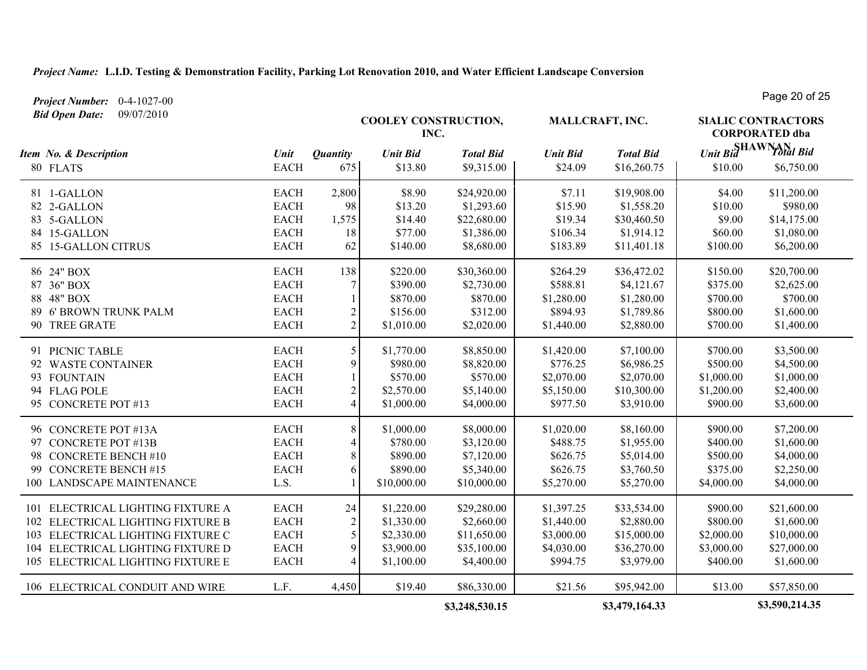*Project Number:* 0-4-1027-00 *Bid Open Date:* 09/07/2010

**COOLEY CONSTRUCTION, INC.** *Unit Bid Total Bid* **SHAWNAN SIALIC CONTRACTORS CORPORATED dba MALLCRAFT, INC.** *Item No. & Description Unit Unit Bid Total Bid Unit Bid Total Bid Quantity* 80 FLATS EACH 675 \$13.80 \$9,315.00 \$24.09 \$16,260.75 \$10.00 \$6,750.00 81 1-GALLON EACH 2,800 \$8.90 \$24,920.00 \$7.11 \$19,908.00 \$4.00 \$11,200.00 82 2-GALLON EACH 98 \$13.20 \$1,293.60 \$15.90 \$1,558.20 \$10.00 \$980.00 83 5-GALLON EACH 1,575 \$14.40 \$22,680.00 \$19.34 \$30,460.50 \$9.00 \$14,175.00 84 15-GALLON EACH 18 \$77.00 \$1,386.00 \$106.34 \$1,914.12 \$60.00 \$1,080.00 85 15-GALLON CITRUS EACH 62 \$140.00 \$8,680.00 \$183.89 \$11,401.18 \$100.00 \$6,200.00 86 24" BOX EACH 138 \$220.00 \$30,360.00 \$264.29 \$36,472.02 \$150.00 \$20,700.00 87 36" BOX EACH 7 \$390.00 \$2,730.00 \$588.81 \$4,121.67 \$375.00 \$2,625.00 88 48" BOX EACH 1 \$870.00 \$870.00 \$1,280.00 \$1,280.00 \$700.00 \$700.00 89 6' BROWN TRUNK PALM **EACH** 2 \$156.00 \$312.00 \$894.93 \$1,789.86 \$800.00 \$1,600.00 90 TREE GRATE EACH 2 \$1,010.00 \$2,020.00 \$1,440.00 \$2,880.00 \$700.00 \$1,400.00 91 PICNIC TABLE EACH 5 \$1,770.00 \$8,850.00 \$1,420.00 \$7,100.00 \$700.00 \$3,500.00 92 WASTE CONTAINER EACH 9 \$980.00 \$8,820.00 \$776.25 \$6,986.25 \$500.00 \$4,500.00 93 FOUNTAIN EACH 1 \$570.00 \$570.00 \$2,070.00 \$2,070.00 \$1,000.00 \$1,000.00 94 FLAG POLE EACH 2 \$2,570.00 \$5,140.00 \$5,150.00 \$10,300.00 \$1,200.00 \$2,400.00 95 CONCRETE POT #13 EACH 4 \$1,000.00 \$4,000.00 \$977.50 \$3,910.00 \$900.00 \$3,600.00 96 CONCRETE POT #13A EACH 8 \$1,000.00 \$8,000.00 \$1,020.00 \$8,160.00 \$900.00 \$7,200.00 97 CONCRETE POT #13B EACH 4 \$780.00 \$3,120.00 \$488.75 \$1,955.00 \$400.00 \$1,600.00<br>98 CONCRETE BENCH #10 EACH 8 \$890.00 \$7,120.00 \$626.75 \$5,014.00 \$500.00 \$4.000.00 98 CONCRETE BENCH #10 EACH 8 \$890.00 \$7,120.00 \$626.75 \$5,014.00 \$500.00 \$4,000.00 99 CONCRETE BENCH #15 EACH 6 \$890.00 \$5,340.00 \$626.75 \$3,760.50 \$375.00 \$2,250.00 100 LANDSCAPE MAINTENANCE L.S. 1 \$10,000.00 \$10,000.00 \$5,270.00 \$5,270.00 \$4,000.00 \$4,000.00 101 ELECTRICAL LIGHTING FIXTURE A EACH 24 \$1,220.00 \$29,280.00 \$1,397.25 \$33,534.00 \$900.00 \$21,600.00 102 ELECTRICAL LIGHTING FIXTURE B EACH 2 \$1,330.00 \$2,660.00 \$1,440.00 \$2,880.00 \$800.00 \$1,600.00 103 ELECTRICAL LIGHTING FIXTURE C EACH 5 \$2,330.00 \$11,650.00 \$3,000.00 \$15,000.00 \$2,000.00 \$10,000.00 104 ELECTRICAL LIGHTING FIXTURE D EACH 9 \$3,900.00 \$35,100.00 \$4,030.00 \$36,270.00 \$3,000.00 \$27,000.00<br>105 ELECTRICAL LIGHTING FIXTURE E EACH 4 \$1,100.00 \$4,400.00 \$994.75 \$3,979.00 \$400.00 \$1.600.00 105 ELECTRICAL LIGHTING FIXTURE E EACH 4 \$1,100.00 \$4,400.00 \$994.75 \$3,979.00 \$400.00 \$1,600.00 106 ELECTRICAL CONDUIT AND WIRE L.F. 4,450 \$19.40 \$86,330.00 \$21.56 \$95,942.00 \$13.00 \$57,850.00

**\$3,248,530.15 \$3,479,164.33 \$3,590,214.35**

Page 20 of 25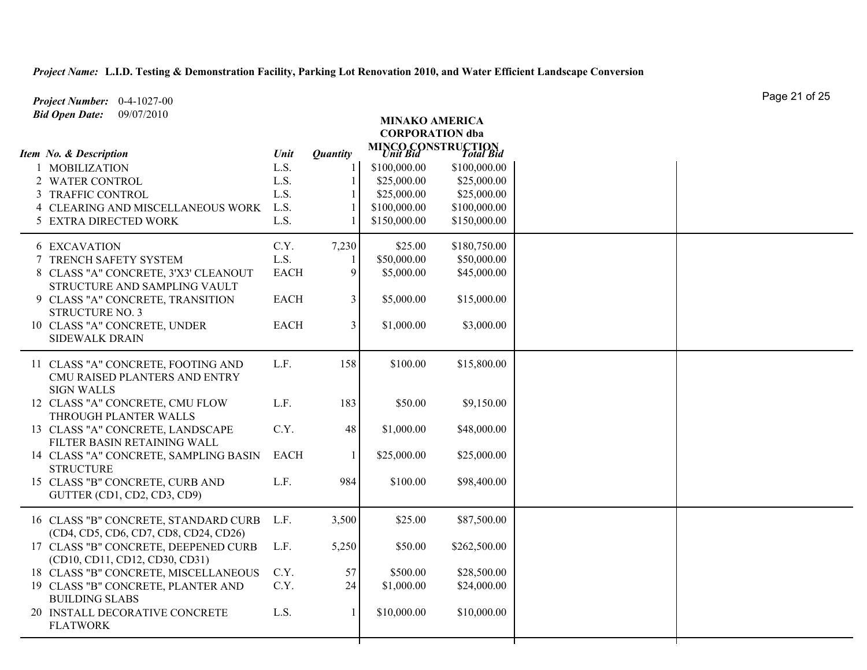| Project Number: 0-4-1027-00                                          |             |                 |                        |                                                        | Page 21 OF 25 |
|----------------------------------------------------------------------|-------------|-----------------|------------------------|--------------------------------------------------------|---------------|
| <b>Bid Open Date:</b><br>09/07/2010                                  |             |                 | <b>MINAKO AMERICA</b>  |                                                        |               |
|                                                                      |             |                 | <b>CORPORATION dba</b> |                                                        |               |
| Item No. & Description                                               | Unit        | <b>Quantity</b> |                        | <b>MINCO CONSTRUCTION</b><br><i>Unit Bid</i> Total Bid |               |
| 1 MOBILIZATION                                                       | L.S.        |                 | \$100,000.00           | \$100,000.00                                           |               |
| 2 WATER CONTROL                                                      | L.S.        |                 | \$25,000.00            | \$25,000.00                                            |               |
| 3 TRAFFIC CONTROL                                                    | L.S.        |                 | \$25,000.00            | \$25,000.00                                            |               |
| 4 CLEARING AND MISCELLANEOUS WORK                                    | L.S.        |                 | \$100,000.00           | \$100,000.00                                           |               |
| 5 EXTRA DIRECTED WORK                                                | L.S.        |                 | \$150,000.00           | \$150,000.00                                           |               |
| <b>6 EXCAVATION</b>                                                  | C.Y.        | 7,230           | \$25.00                | \$180,750.00                                           |               |
| 7 TRENCH SAFETY SYSTEM                                               | L.S.        |                 | \$50,000.00            | \$50,000.00                                            |               |
| 8 CLASS "A" CONCRETE, 3'X3' CLEANOUT                                 | <b>EACH</b> | 9               | \$5,000.00             | \$45,000.00                                            |               |
| STRUCTURE AND SAMPLING VAULT                                         |             |                 |                        |                                                        |               |
| 9 CLASS "A" CONCRETE, TRANSITION<br><b>STRUCTURE NO. 3</b>           | <b>EACH</b> | 3               | \$5,000.00             | \$15,000.00                                            |               |
| 10 CLASS "A" CONCRETE, UNDER                                         | <b>EACH</b> | 3               | \$1,000.00             | \$3,000.00                                             |               |
| <b>SIDEWALK DRAIN</b>                                                |             |                 |                        |                                                        |               |
| 11 CLASS "A" CONCRETE, FOOTING AND                                   | L.F.        | 158             | \$100.00               | \$15,800.00                                            |               |
| CMU RAISED PLANTERS AND ENTRY                                        |             |                 |                        |                                                        |               |
| <b>SIGN WALLS</b>                                                    |             |                 |                        |                                                        |               |
| 12 CLASS "A" CONCRETE, CMU FLOW                                      | L.F.        | 183             | \$50.00                | \$9,150.00                                             |               |
| THROUGH PLANTER WALLS                                                |             |                 |                        |                                                        |               |
| 13 CLASS "A" CONCRETE, LANDSCAPE                                     | C.Y.        | 48              | \$1,000.00             | \$48,000.00                                            |               |
| FILTER BASIN RETAINING WALL<br>14 CLASS "A" CONCRETE, SAMPLING BASIN | <b>EACH</b> |                 | \$25,000.00            | \$25,000.00                                            |               |
| <b>STRUCTURE</b>                                                     |             |                 |                        |                                                        |               |
| 15 CLASS "B" CONCRETE, CURB AND                                      | L.F.        | 984             | \$100.00               | \$98,400.00                                            |               |
| GUTTER (CD1, CD2, CD3, CD9)                                          |             |                 |                        |                                                        |               |
| 16 CLASS "B" CONCRETE, STANDARD CURB                                 | L.F.        | 3,500           | \$25.00                | \$87,500.00                                            |               |
| (CD4, CD5, CD6, CD7, CD8, CD24, CD26)                                |             |                 |                        |                                                        |               |
| 17 CLASS "B" CONCRETE, DEEPENED CURB                                 | L.F.        | 5,250           | \$50.00                | \$262,500.00                                           |               |
| (CD10, CD11, CD12, CD30, CD31)                                       |             |                 |                        |                                                        |               |
| 18 CLASS "B" CONCRETE, MISCELLANEOUS                                 | C.Y.        | 57              | \$500.00               | \$28,500.00                                            |               |
| 19 CLASS "B" CONCRETE, PLANTER AND                                   | C.Y.        | 24              | \$1,000.00             | \$24,000.00                                            |               |
| <b>BUILDING SLABS</b><br>20 INSTALL DECORATIVE CONCRETE              | L.S.        |                 | \$10,000.00            | \$10,000.00                                            |               |
| <b>FLATWORK</b>                                                      |             |                 |                        |                                                        |               |
|                                                                      |             |                 |                        |                                                        |               |

Page 21 of 25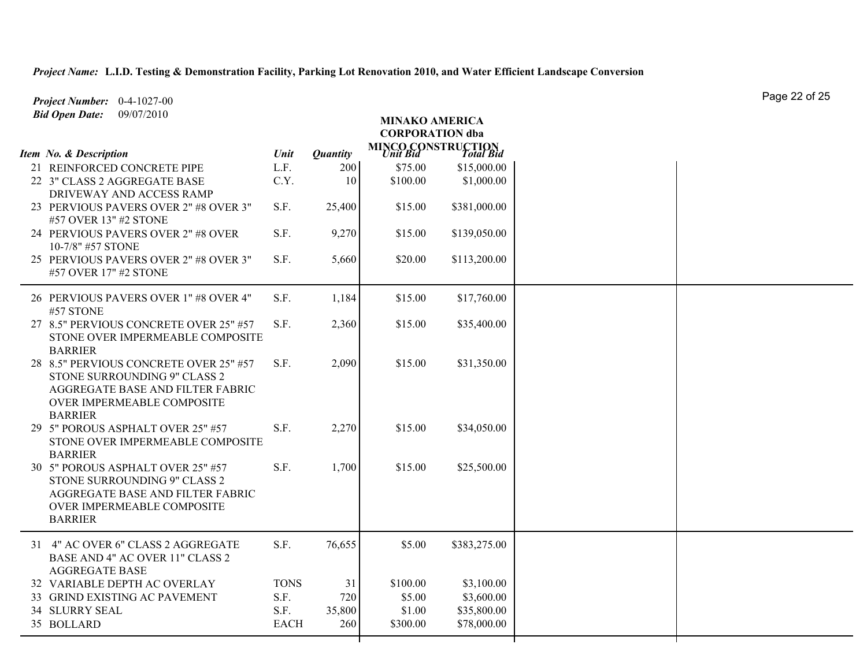| Project Number: 0-4-1027-00                                                                                                                                |             |                 |                                                        |              | Page 22 OF 25 |
|------------------------------------------------------------------------------------------------------------------------------------------------------------|-------------|-----------------|--------------------------------------------------------|--------------|---------------|
| <b>Bid Open Date:</b><br>09/07/2010                                                                                                                        |             |                 | <b>MINAKO AMERICA</b><br><b>CORPORATION</b> dba        |              |               |
| Item No. & Description                                                                                                                                     | Unit        | <b>Quantity</b> | <b>MINCO CONSTRUCTION</b><br><i>Unit Bid Total Bid</i> |              |               |
| 21 REINFORCED CONCRETE PIPE                                                                                                                                | L.F.        | 200             | \$75.00                                                | \$15,000.00  |               |
| 22 3" CLASS 2 AGGREGATE BASE<br>DRIVEWAY AND ACCESS RAMP                                                                                                   | C.Y.        | 10              | \$100.00                                               | \$1,000.00   |               |
| 23 PERVIOUS PAVERS OVER 2" #8 OVER 3"<br>#57 OVER 13" #2 STONE                                                                                             | S.F.        | 25,400          | \$15.00                                                | \$381,000.00 |               |
| 24 PERVIOUS PAVERS OVER 2" #8 OVER<br>10-7/8" #57 STONE                                                                                                    | S.F.        | 9,270           | \$15.00                                                | \$139,050.00 |               |
| 25 PERVIOUS PAVERS OVER 2" #8 OVER 3"<br>#57 OVER 17" #2 STONE                                                                                             | S.F.        | 5,660           | \$20.00                                                | \$113,200.00 |               |
| 26 PERVIOUS PAVERS OVER 1" #8 OVER 4"<br>#57 STONE                                                                                                         | S.F.        | 1,184           | \$15.00                                                | \$17,760.00  |               |
| 27 8.5" PERVIOUS CONCRETE OVER 25" #57<br>STONE OVER IMPERMEABLE COMPOSITE<br><b>BARRIER</b>                                                               | S.F.        | 2,360           | \$15.00                                                | \$35,400.00  |               |
| 28 8.5" PERVIOUS CONCRETE OVER 25" #57<br>STONE SURROUNDING 9" CLASS 2<br>AGGREGATE BASE AND FILTER FABRIC<br>OVER IMPERMEABLE COMPOSITE<br><b>BARRIER</b> | S.F.        | 2,090           | \$15.00                                                | \$31,350.00  |               |
| 29 5" POROUS ASPHALT OVER 25" #57<br>STONE OVER IMPERMEABLE COMPOSITE<br><b>BARRIER</b>                                                                    | S.F.        | 2,270           | \$15.00                                                | \$34,050.00  |               |
| 30 5" POROUS ASPHALT OVER 25" #57<br>STONE SURROUNDING 9" CLASS 2<br>AGGREGATE BASE AND FILTER FABRIC<br>OVER IMPERMEABLE COMPOSITE<br><b>BARRIER</b>      | S.F.        | 1,700           | \$15.00                                                | \$25,500.00  |               |
| 31 4" AC OVER 6" CLASS 2 AGGREGATE<br>BASE AND 4" AC OVER 11" CLASS 2<br><b>AGGREGATE BASE</b>                                                             | S.F.        | 76,655          | \$5.00                                                 | \$383,275.00 |               |
| 32 VARIABLE DEPTH AC OVERLAY                                                                                                                               | <b>TONS</b> | 31              | \$100.00                                               | \$3,100.00   |               |
| 33 GRIND EXISTING AC PAVEMENT                                                                                                                              | S.F.        | 720             | \$5.00                                                 | \$3,600.00   |               |
| <b>34 SLURRY SEAL</b>                                                                                                                                      | S.F.        | 35,800          | \$1.00                                                 | \$35,800.00  |               |
| 35 BOLLARD                                                                                                                                                 | <b>EACH</b> | 260             | \$300.00                                               | \$78,000.00  |               |
|                                                                                                                                                            |             |                 |                                                        |              |               |

Page 22 of 25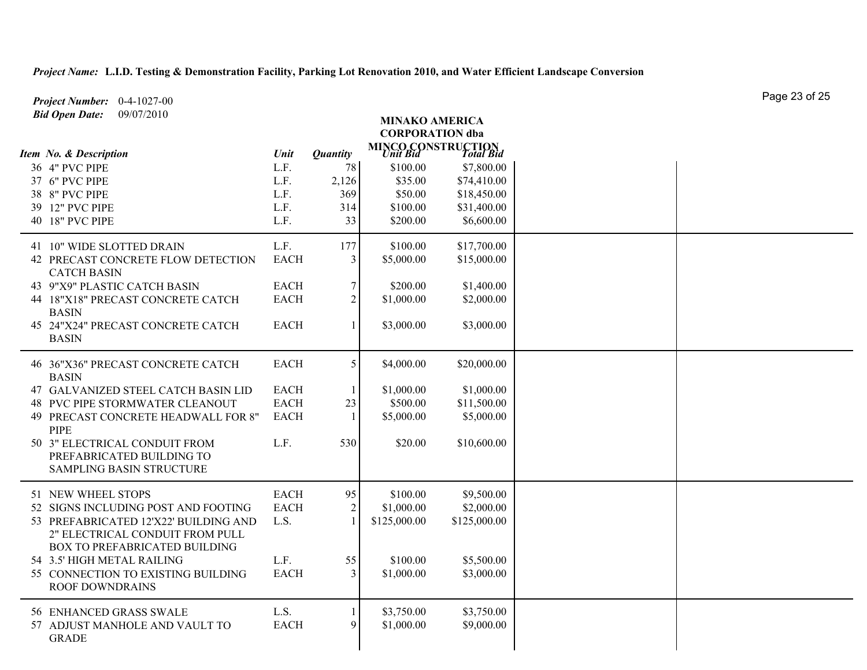| Project Number: 0-4-1027-00                                                                   |             |                 |                        |                                                        |  | Page 20 UI 20 |
|-----------------------------------------------------------------------------------------------|-------------|-----------------|------------------------|--------------------------------------------------------|--|---------------|
| <b>Bid Open Date:</b><br>09/07/2010                                                           |             |                 | <b>MINAKO AMERICA</b>  |                                                        |  |               |
|                                                                                               |             |                 | <b>CORPORATION dba</b> |                                                        |  |               |
| Item No. & Description                                                                        | Unit        | <b>Quantity</b> |                        | <b>MINCO CONSTRUCTION</b><br><i>Unit Bid Total Bid</i> |  |               |
| 36 4" PVC PIPE                                                                                | L.F.        | 78              | \$100.00               | \$7,800.00                                             |  |               |
| 37 6" PVC PIPE                                                                                | L.F.        | 2,126           | \$35.00                | \$74,410.00                                            |  |               |
| 38 8" PVC PIPE                                                                                | L.F.        | 369             | \$50.00                | \$18,450.00                                            |  |               |
| 39 12" PVC PIPE                                                                               | L.F.        | 314             | \$100.00               | \$31,400.00                                            |  |               |
| 40 18" PVC PIPE                                                                               | L.F.        | 33              | \$200.00               | \$6,600.00                                             |  |               |
| 41 10" WIDE SLOTTED DRAIN                                                                     | L.F.        | 177             | \$100.00               | \$17,700.00                                            |  |               |
| 42 PRECAST CONCRETE FLOW DETECTION<br><b>CATCH BASIN</b>                                      | <b>EACH</b> | 3               | \$5,000.00             | \$15,000.00                                            |  |               |
| 43 9"X9" PLASTIC CATCH BASIN                                                                  | <b>EACH</b> | $\tau$          | \$200.00               | \$1,400.00                                             |  |               |
| 44 18"X18" PRECAST CONCRETE CATCH<br><b>BASIN</b>                                             | <b>EACH</b> | $\overline{2}$  | \$1,000.00             | \$2,000.00                                             |  |               |
| 45 24"X24" PRECAST CONCRETE CATCH<br><b>BASIN</b>                                             | <b>EACH</b> | $\mathbf{1}$    | \$3,000.00             | \$3,000.00                                             |  |               |
| 46 36"X36" PRECAST CONCRETE CATCH<br><b>BASIN</b>                                             | <b>EACH</b> | 5               | \$4,000.00             | \$20,000.00                                            |  |               |
| 47 GALVANIZED STEEL CATCH BASIN LID                                                           | <b>EACH</b> |                 | \$1,000.00             | \$1,000.00                                             |  |               |
| <b>48 PVC PIPE STORMWATER CLEANOUT</b>                                                        | <b>EACH</b> | 23              | \$500.00               | \$11,500.00                                            |  |               |
| 49 PRECAST CONCRETE HEADWALL FOR 8"<br><b>PIPE</b>                                            | <b>EACH</b> | $\mathbf{1}$    | \$5,000.00             | \$5,000.00                                             |  |               |
| 50 3" ELECTRICAL CONDUIT FROM<br>PREFABRICATED BUILDING TO<br><b>SAMPLING BASIN STRUCTURE</b> | L.F.        | 530             | \$20.00                | \$10,600.00                                            |  |               |
| 51 NEW WHEEL STOPS                                                                            | <b>EACH</b> | 95              | \$100.00               | \$9,500.00                                             |  |               |
| 52 SIGNS INCLUDING POST AND FOOTING                                                           | <b>EACH</b> | $\overline{2}$  | \$1,000.00             | \$2,000.00                                             |  |               |
| 53 PREFABRICATED 12'X22' BUILDING AND<br>2" ELECTRICAL CONDUIT FROM PULL                      | L.S.        |                 | \$125,000.00           | \$125,000.00                                           |  |               |
| BOX TO PREFABRICATED BUILDING                                                                 |             |                 |                        |                                                        |  |               |
| 54 3.5' HIGH METAL RAILING                                                                    | L.F.        | 55              | \$100.00               | \$5,500.00                                             |  |               |
| 55 CONNECTION TO EXISTING BUILDING<br><b>ROOF DOWNDRAINS</b>                                  | <b>EACH</b> | 3               | \$1,000.00             | \$3,000.00                                             |  |               |
| 56 ENHANCED GRASS SWALE                                                                       | L.S.        |                 | \$3,750.00             | \$3,750.00                                             |  |               |
| 57 ADJUST MANHOLE AND VAULT TO                                                                | <b>EACH</b> | 9               | \$1,000.00             | \$9,000.00                                             |  |               |
| <b>GRADE</b>                                                                                  |             |                 |                        |                                                        |  |               |
|                                                                                               |             |                 |                        |                                                        |  |               |

Page 23 of 25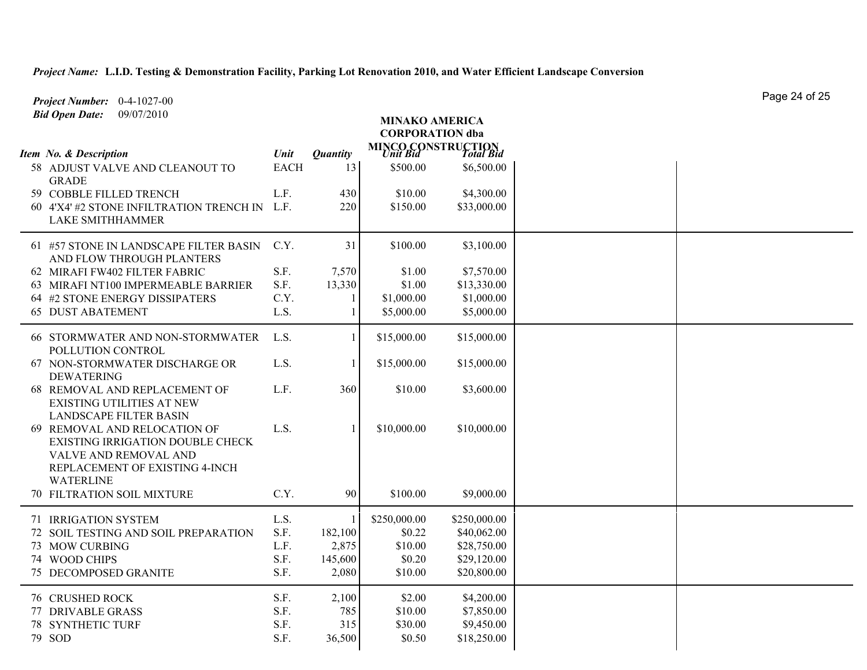| Project Number: 0-4-1027-00                                                                                                                            |             |                 |                                                        |              | Paye 24 OF 20 |
|--------------------------------------------------------------------------------------------------------------------------------------------------------|-------------|-----------------|--------------------------------------------------------|--------------|---------------|
| <b>Bid Open Date:</b><br>09/07/2010                                                                                                                    |             |                 | <b>MINAKO AMERICA</b>                                  |              |               |
|                                                                                                                                                        |             |                 | <b>CORPORATION dba</b>                                 |              |               |
|                                                                                                                                                        |             |                 | <b>MINCO CONSTRUCTION</b><br><i>Unit Bid</i> Total Bid |              |               |
| Item No. & Description                                                                                                                                 | Unit        | <b>Quantity</b> |                                                        |              |               |
| 58 ADJUST VALVE AND CLEANOUT TO<br><b>GRADE</b>                                                                                                        | <b>EACH</b> | 13              | \$500.00                                               | \$6,500.00   |               |
| 59 COBBLE FILLED TRENCH                                                                                                                                | L.F.        | 430             | \$10.00                                                | \$4,300.00   |               |
| 60 4'X4' #2 STONE INFILTRATION TRENCH IN                                                                                                               | L.F.        | 220             | \$150.00                                               | \$33,000.00  |               |
| <b>LAKE SMITHHAMMER</b>                                                                                                                                |             |                 |                                                        |              |               |
| 61 #57 STONE IN LANDSCAPE FILTER BASIN<br>AND FLOW THROUGH PLANTERS                                                                                    | C.Y.        | 31              | \$100.00                                               | \$3,100.00   |               |
| 62 MIRAFI FW402 FILTER FABRIC                                                                                                                          | S.F.        | 7,570           | \$1.00                                                 | \$7,570.00   |               |
| 63 MIRAFI NT100 IMPERMEABLE BARRIER                                                                                                                    | S.F.        | 13,330          | \$1.00                                                 | \$13,330.00  |               |
| 64 #2 STONE ENERGY DISSIPATERS                                                                                                                         | C.Y.        |                 | \$1,000.00                                             | \$1,000.00   |               |
| <b>65 DUST ABATEMENT</b>                                                                                                                               | L.S.        |                 | \$5,000.00                                             | \$5,000.00   |               |
| 66 STORMWATER AND NON-STORMWATER<br>POLLUTION CONTROL                                                                                                  | L.S.        |                 | \$15,000.00                                            | \$15,000.00  |               |
| 67 NON-STORMWATER DISCHARGE OR<br><b>DEWATERING</b>                                                                                                    | L.S.        |                 | \$15,000.00                                            | \$15,000.00  |               |
| 68 REMOVAL AND REPLACEMENT OF<br>EXISTING UTILITIES AT NEW<br><b>LANDSCAPE FILTER BASIN</b>                                                            | L.F.        | 360             | \$10.00                                                | \$3,600.00   |               |
| 69 REMOVAL AND RELOCATION OF<br><b>EXISTING IRRIGATION DOUBLE CHECK</b><br>VALVE AND REMOVAL AND<br>REPLACEMENT OF EXISTING 4-INCH<br><b>WATERLINE</b> | L.S.        |                 | \$10,000.00                                            | \$10,000.00  |               |
| 70 FILTRATION SOIL MIXTURE                                                                                                                             | C.Y.        | 90              | \$100.00                                               | \$9,000.00   |               |
| 71 IRRIGATION SYSTEM                                                                                                                                   | L.S.        |                 | \$250,000.00                                           | \$250,000.00 |               |
| 72 SOIL TESTING AND SOIL PREPARATION                                                                                                                   | S.F.        | 182,100         | \$0.22                                                 | \$40,062.00  |               |
| 73 MOW CURBING                                                                                                                                         | L.F.        | 2,875           | \$10.00                                                | \$28,750.00  |               |
| 74 WOOD CHIPS                                                                                                                                          | S.F.        | 145,600         | \$0.20                                                 | \$29,120.00  |               |
| <b>75 DECOMPOSED GRANITE</b>                                                                                                                           | S.F.        | 2,080           | \$10.00                                                | \$20,800.00  |               |
| <b>76 CRUSHED ROCK</b>                                                                                                                                 | S.F.        | 2,100           | \$2.00                                                 | \$4,200.00   |               |
| 77 DRIVABLE GRASS                                                                                                                                      | S.F.        | 785             | \$10.00                                                | \$7,850.00   |               |
| <b>78 SYNTHETIC TURF</b>                                                                                                                               | S.F.        | 315             | \$30.00                                                | \$9,450.00   |               |
| 79 SOD                                                                                                                                                 | S.F.        | 36,500          | \$0.50                                                 | \$18,250.00  |               |

Page 24 of 25